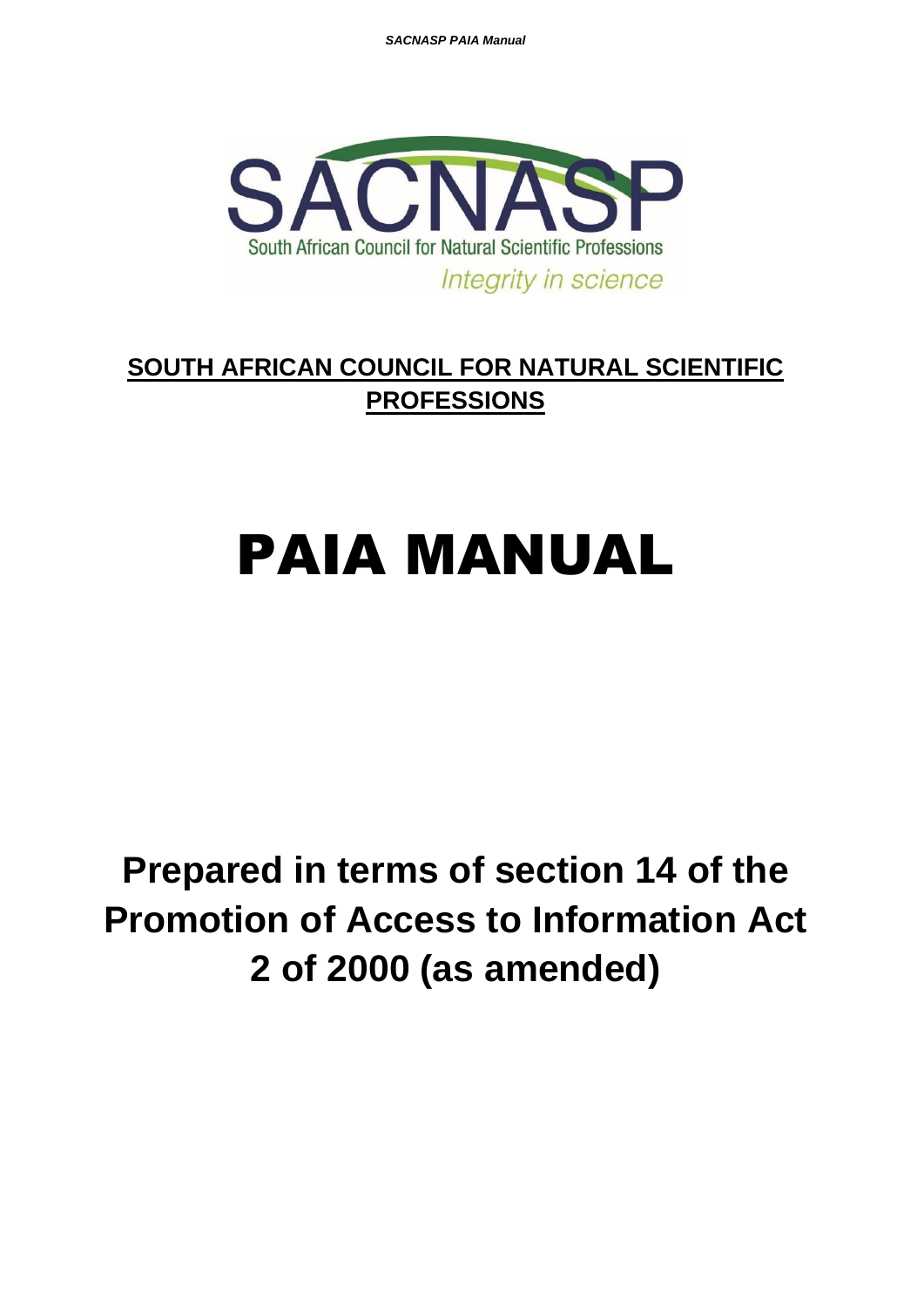*SACNASP PAIA Manual* 



# **SOUTH AFRICAN COUNCIL FOR NATURAL SCIENTIFIC PROFESSIONS**

# PAIA MANUAL

**Prepared in terms of section 14 of the Promotion of Access to Information Act 2 of 2000 (as amended)**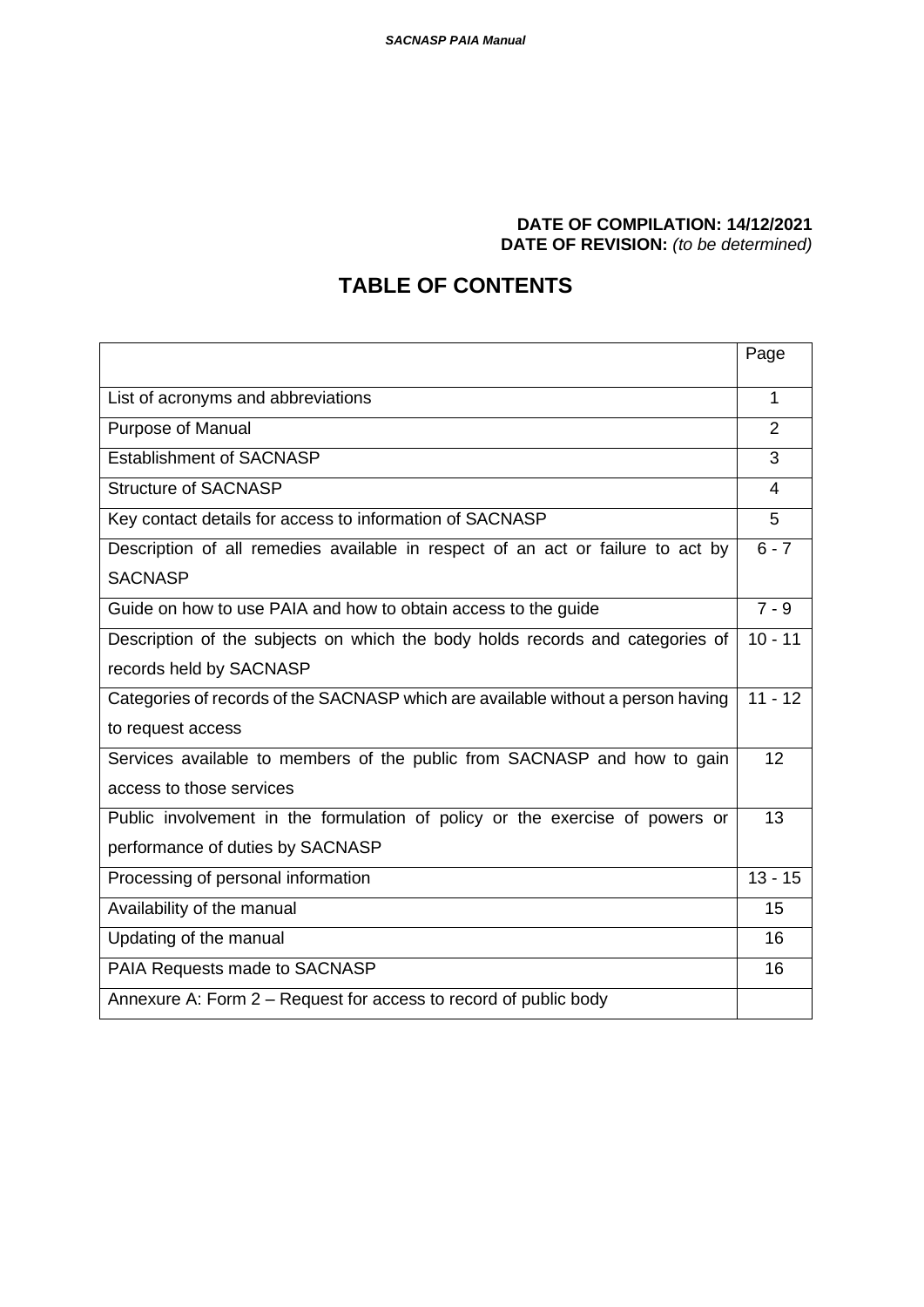#### **DATE OF COMPILATION: 14/12/2021 DATE OF REVISION:** *(to be determined)*

# **TABLE OF CONTENTS**

|                                                                                  | Page      |
|----------------------------------------------------------------------------------|-----------|
| List of acronyms and abbreviations                                               | 1         |
| Purpose of Manual                                                                | 2         |
| <b>Establishment of SACNASP</b>                                                  | 3         |
| <b>Structure of SACNASP</b>                                                      | 4         |
| Key contact details for access to information of SACNASP                         | 5         |
| Description of all remedies available in respect of an act or failure to act by  | $6 - 7$   |
| <b>SACNASP</b>                                                                   |           |
| Guide on how to use PAIA and how to obtain access to the guide                   | $7 - 9$   |
| Description of the subjects on which the body holds records and categories of    | $10 - 11$ |
| records held by SACNASP                                                          |           |
| Categories of records of the SACNASP which are available without a person having | $11 - 12$ |
| to request access                                                                |           |
| Services available to members of the public from SACNASP and how to gain         | 12        |
| access to those services                                                         |           |
| Public involvement in the formulation of policy or the exercise of powers or     | 13        |
| performance of duties by SACNASP                                                 |           |
| Processing of personal information                                               | $13 - 15$ |
| Availability of the manual                                                       | 15        |
| Updating of the manual                                                           | 16        |
| PAIA Requests made to SACNASP                                                    | 16        |
| Annexure A: Form 2 – Request for access to record of public body                 |           |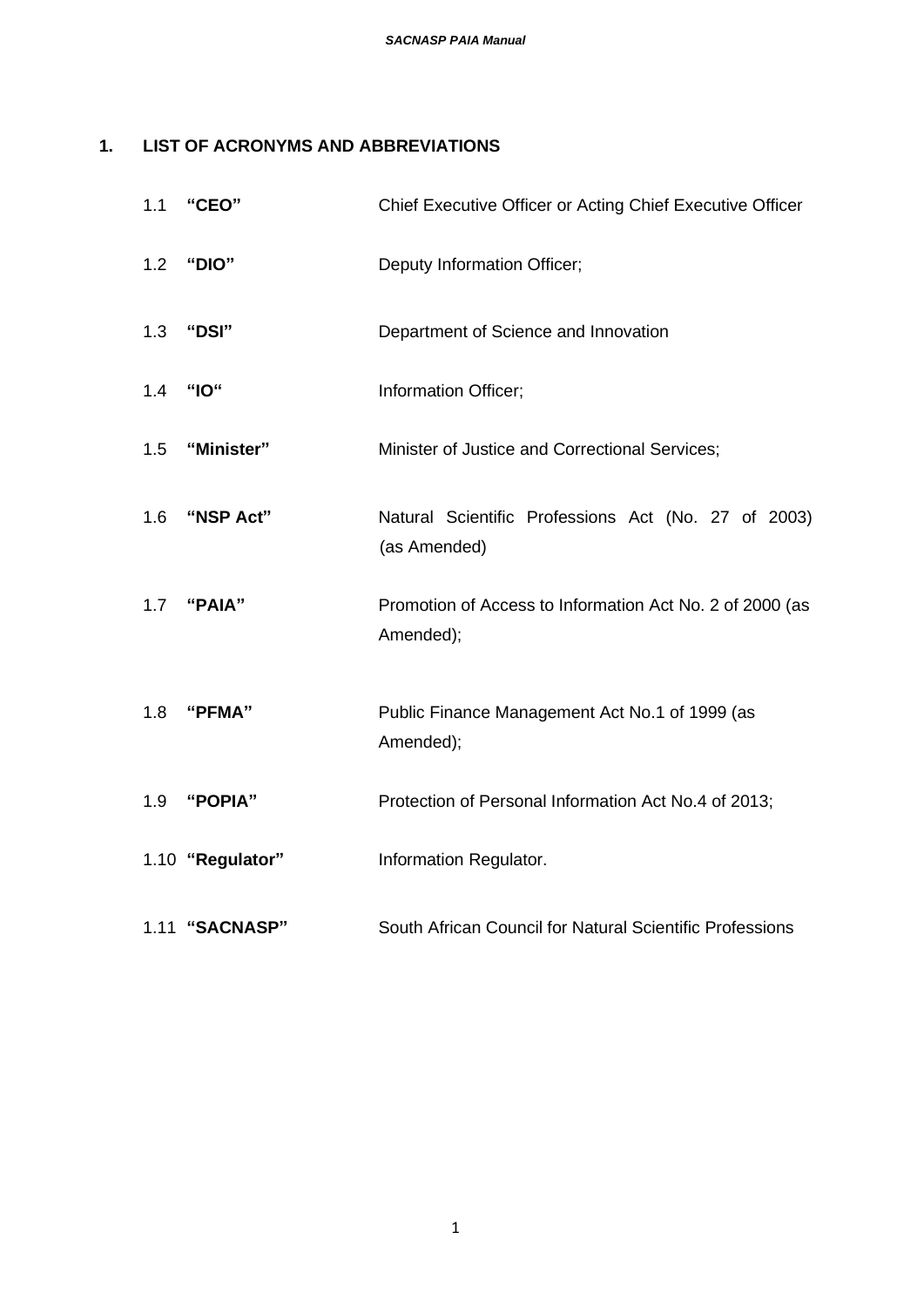## **1. LIST OF ACRONYMS AND ABBREVIATIONS**

| 1.1 | "CEO"            | Chief Executive Officer or Acting Chief Executive Officer             |
|-----|------------------|-----------------------------------------------------------------------|
| 1.2 | "DIO"            | Deputy Information Officer;                                           |
| 1.3 | "DSI"            | Department of Science and Innovation                                  |
| 1.4 | "IO"             | Information Officer;                                                  |
| 1.5 | "Minister"       | Minister of Justice and Correctional Services;                        |
| 1.6 | "NSP Act"        | Natural Scientific Professions Act (No. 27 of 2003)<br>(as Amended)   |
| 1.7 | "PAIA"           | Promotion of Access to Information Act No. 2 of 2000 (as<br>Amended); |
| 1.8 | "PFMA"           | Public Finance Management Act No.1 of 1999 (as<br>Amended);           |
| 1.9 | "POPIA"          | Protection of Personal Information Act No.4 of 2013;                  |
|     | 1.10 "Regulator" | Information Regulator.                                                |
|     | 1.11 "SACNASP"   | South African Council for Natural Scientific Professions              |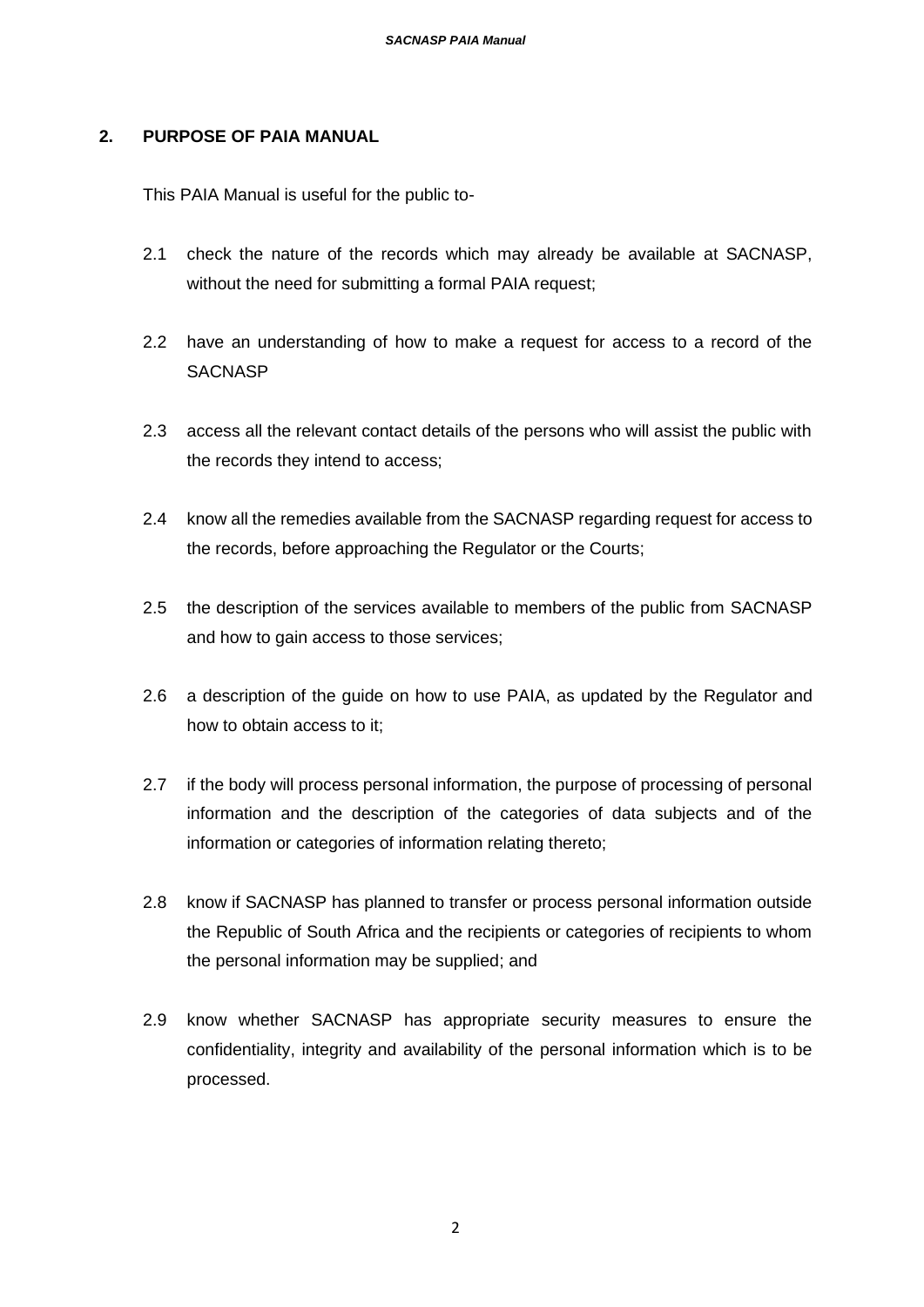#### **2. PURPOSE OF PAIA MANUAL**

This PAIA Manual is useful for the public to-

- 2.1 check the nature of the records which may already be available at SACNASP, without the need for submitting a formal PAIA request;
- 2.2 have an understanding of how to make a request for access to a record of the **SACNASP**
- 2.3 access all the relevant contact details of the persons who will assist the public with the records they intend to access;
- 2.4 know all the remedies available from the SACNASP regarding request for access to the records, before approaching the Regulator or the Courts;
- 2.5 the description of the services available to members of the public from SACNASP and how to gain access to those services;
- 2.6 a description of the guide on how to use PAIA, as updated by the Regulator and how to obtain access to it;
- 2.7 if the body will process personal information, the purpose of processing of personal information and the description of the categories of data subjects and of the information or categories of information relating thereto;
- 2.8 know if SACNASP has planned to transfer or process personal information outside the Republic of South Africa and the recipients or categories of recipients to whom the personal information may be supplied; and
- 2.9 know whether SACNASP has appropriate security measures to ensure the confidentiality, integrity and availability of the personal information which is to be processed.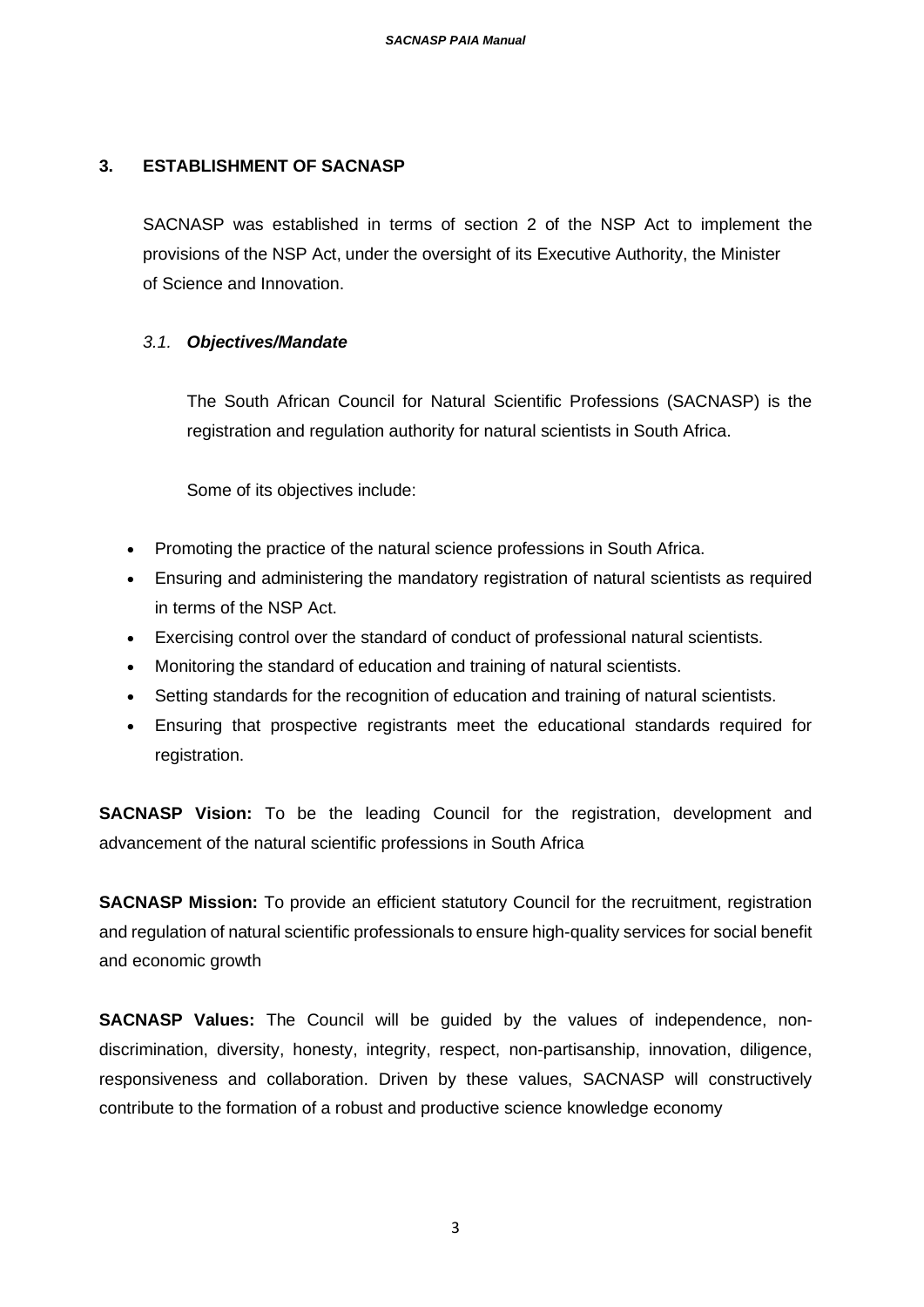#### **3. ESTABLISHMENT OF SACNASP**

SACNASP was established in terms of section 2 of the NSP Act to implement the provisions of the NSP Act, under the oversight of its Executive Authority, the Minister of Science and Innovation.

#### *3.1. Objectives/Mandate*

The South African Council for Natural Scientific Professions (SACNASP) is the registration and regulation authority for natural scientists in South Africa.

Some of its objectives include:

- Promoting the practice of the natural science professions in South Africa.
- Ensuring and administering the mandatory registration of natural scientists as required in terms of the NSP Act.
- Exercising control over the standard of conduct of professional natural scientists.
- Monitoring the standard of education and training of natural scientists.
- Setting standards for the recognition of education and training of natural scientists.
- Ensuring that prospective registrants meet the educational standards required for registration.

**SACNASP Vision:** To be the leading Council for the registration, development and advancement of the natural scientific professions in South Africa

**SACNASP Mission:** To provide an efficient statutory Council for the recruitment, registration and regulation of natural scientific professionals to ensure high-quality services for social benefit and economic growth

**SACNASP Values:** The Council will be guided by the values of independence, nondiscrimination, diversity, honesty, integrity, respect, non-partisanship, innovation, diligence, responsiveness and collaboration. Driven by these values, SACNASP will constructively contribute to the formation of a robust and productive science knowledge economy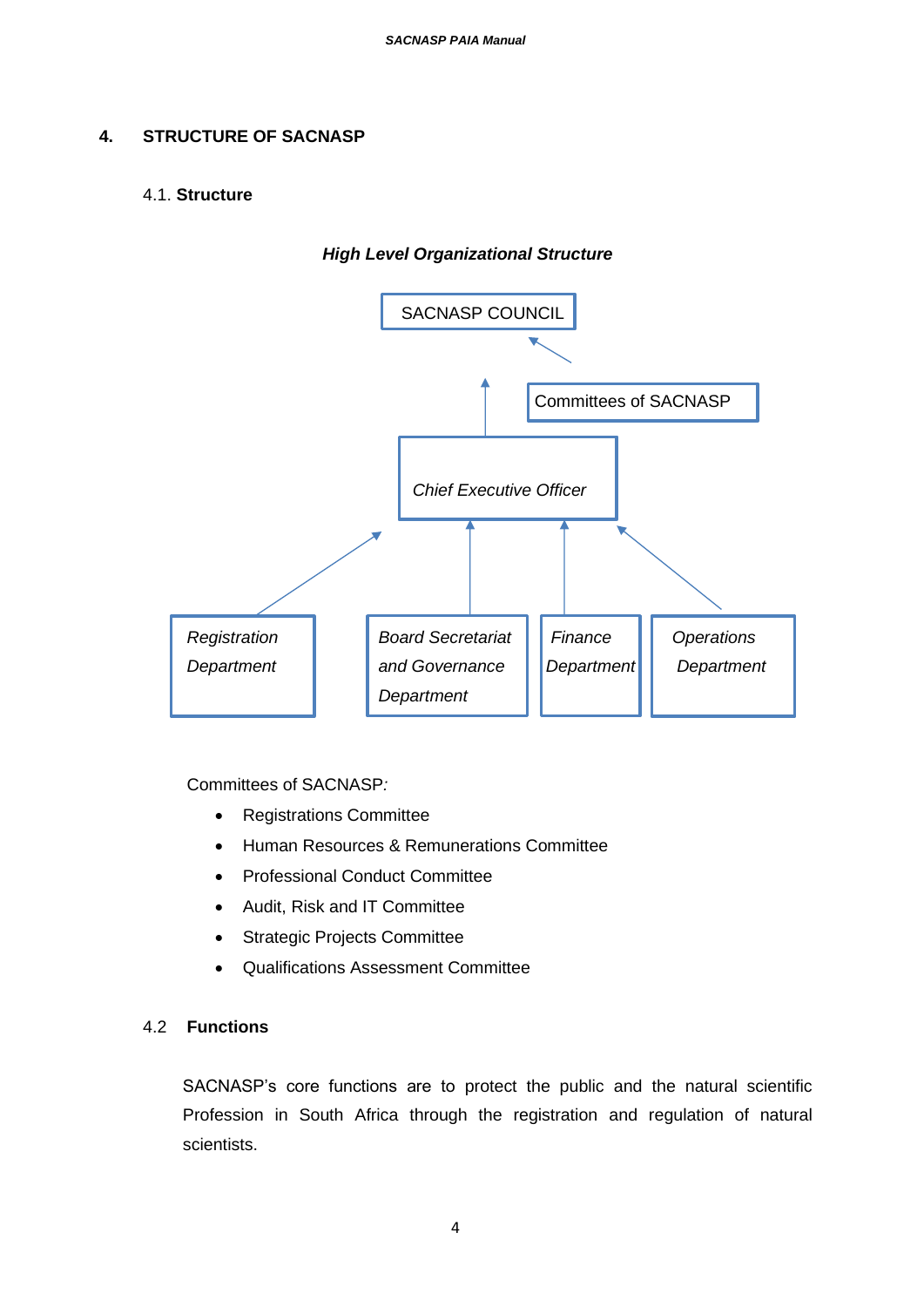#### **4. STRUCTURE OF SACNASP**

#### 4.1. **Structure**



*High Level Organizational Structure*

Committees of SACNASP*:*

- Registrations Committee
- Human Resources & Remunerations Committee
- Professional Conduct Committee
- Audit, Risk and IT Committee
- Strategic Projects Committee
- Qualifications Assessment Committee

#### 4.2 **Functions**

SACNASP's core functions are to protect the public and the natural scientific Profession in South Africa through the registration and regulation of natural scientists.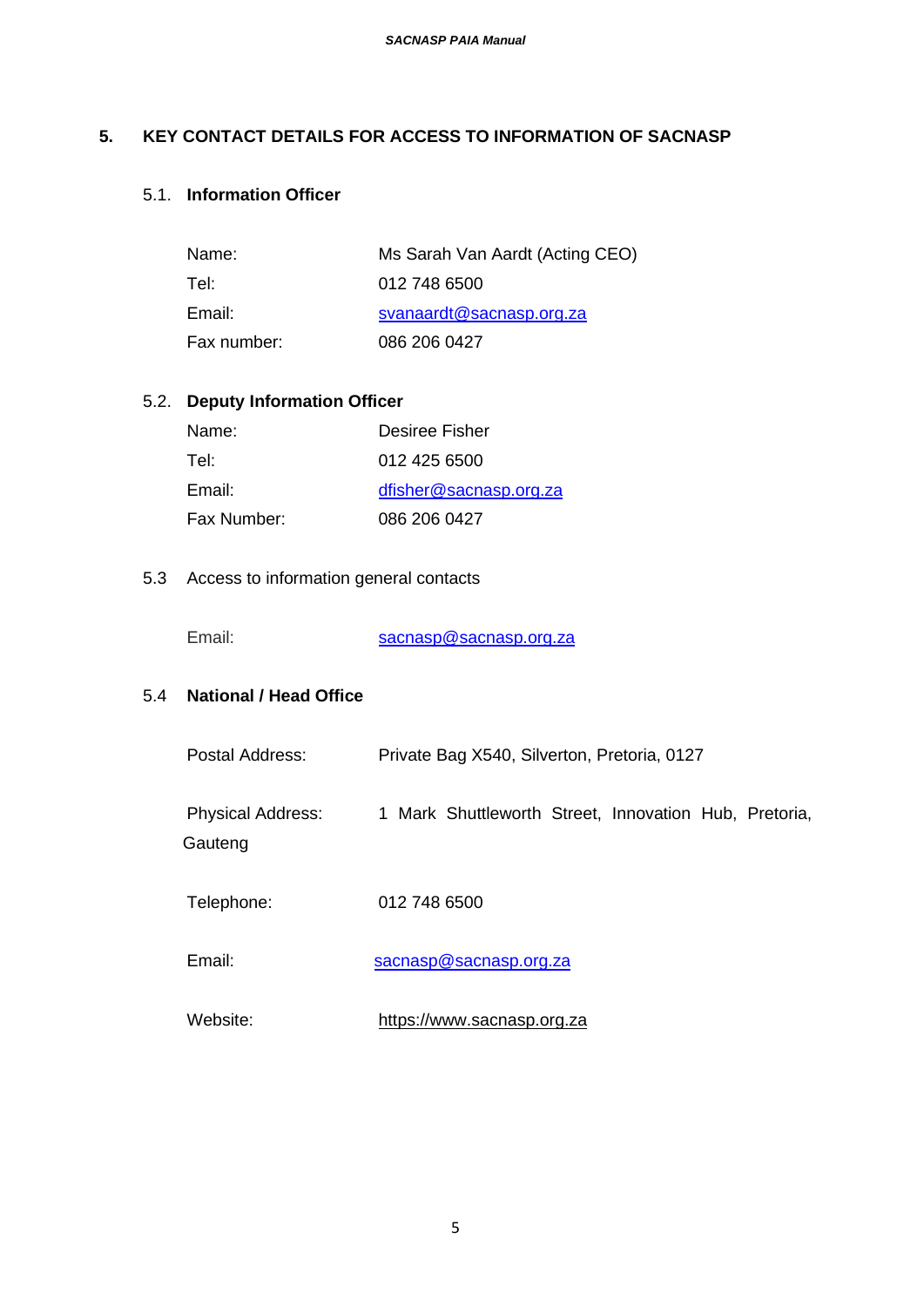#### **5. KEY CONTACT DETAILS FOR ACCESS TO INFORMATION OF SACNASP**

## 5.1. **Information Officer**

| Name:       | Ms Sarah Van Aardt (Acting CEO) |
|-------------|---------------------------------|
| Tel:        | 012 748 6500                    |
| Email:      | svanaardt@sacnasp.org.za        |
| Fax number: | 086 206 0427                    |

## 5.2. **Deputy Information Officer**

| Name:       | Desiree Fisher         |
|-------------|------------------------|
| Tel:        | 012 425 6500           |
| Email:      | dfisher@sacnasp.org.za |
| Fax Number: | 086 206 0427           |

#### 5.3 Access to information general contacts

Email: [sacnasp@sacnasp.org.za](mailto:sacnasp@sacnasp.org.za)

## 5.4 **National / Head Office**

| Postal Address:                     | Private Bag X540, Silverton, Pretoria, 0127           |  |
|-------------------------------------|-------------------------------------------------------|--|
| <b>Physical Address:</b><br>Gauteng | 1 Mark Shuttleworth Street, Innovation Hub, Pretoria, |  |
| Telephone:                          | 012 748 6500                                          |  |
| Email:                              | sacnasp@sacnasp.org.za                                |  |

Website: [https://www.sacnasp.org.za](https://www.sacnasp.org.za/)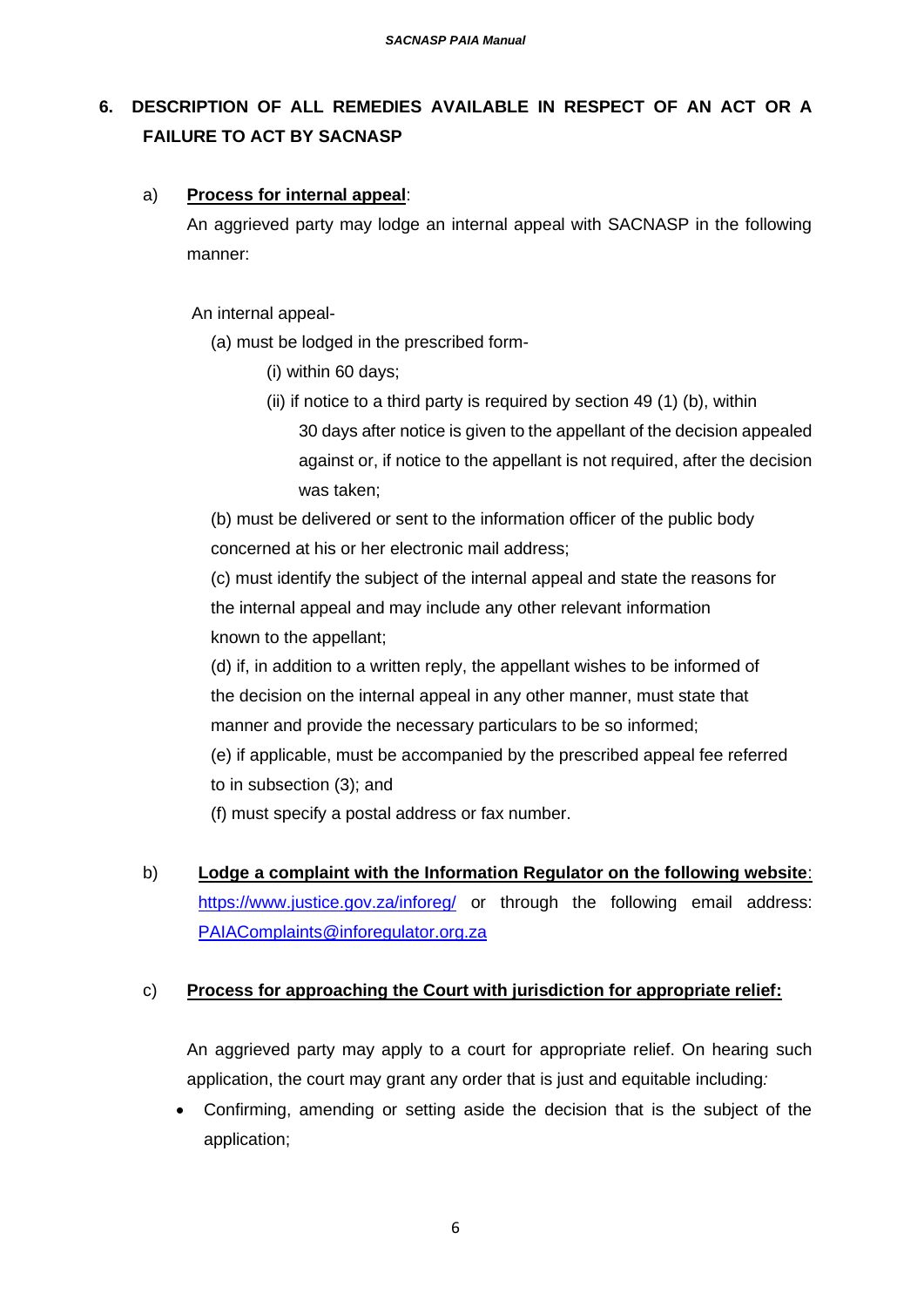## **6. DESCRIPTION OF ALL REMEDIES AVAILABLE IN RESPECT OF AN ACT OR A FAILURE TO ACT BY SACNASP**

#### a) **Process for internal appeal**:

An aggrieved party may lodge an internal appeal with SACNASP in the following manner:

An internal appeal-

(a) must be lodged in the prescribed form-

- (i) within 60 days;
- (ii) if notice to a third party is required by section 49 (1) (b), within
	- 30 days after notice is given to the appellant of the decision appealed against or, if notice to the appellant is not required, after the decision was taken;

(b) must be delivered or sent to the information officer of the public body concerned at his or her electronic mail address;

(c) must identify the subject of the internal appeal and state the reasons for the internal appeal and may include any other relevant information known to the appellant;

(d) if, in addition to a written reply, the appellant wishes to be informed of the decision on the internal appeal in any other manner, must state that manner and provide the necessary particulars to be so informed;

(e) if applicable, must be accompanied by the prescribed appeal fee referred to in subsection (3); and

(f) must specify a postal address or fax number.

b) **Lodge a complaint with the Information Regulator on the following website**: <https://www.justice.gov.za/inforeg/> or through the following email address: [PAIAComplaints@inforegulator.org.za](mailto:PAIAComplaints@inforegulator.org.za)

#### c) **Process for approaching the Court with jurisdiction for appropriate relief:**

An aggrieved party may apply to a court for appropriate relief. On hearing such application, the court may grant any order that is just and equitable including*:*

• Confirming, amending or setting aside the decision that is the subject of the application;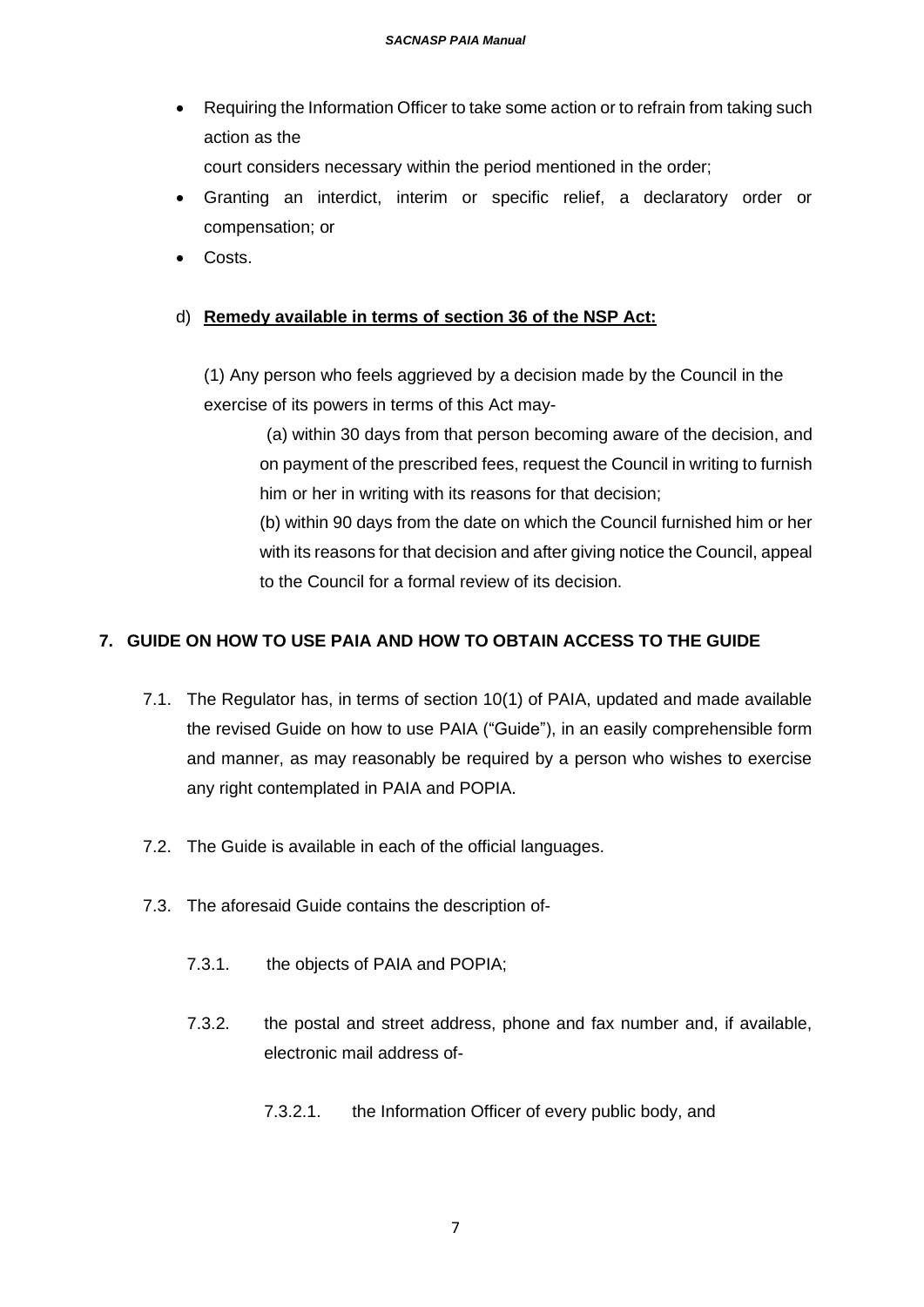• Requiring the Information Officer to take some action or to refrain from taking such action as the

court considers necessary within the period mentioned in the order;

- Granting an interdict, interim or specific relief, a declaratory order or compensation; or
- Costs.

## d) **Remedy available in terms of section 36 of the NSP Act:**

(1) Any person who feels aggrieved by a decision made by the Council in the exercise of its powers in terms of this Act may-

(a) within 30 days from that person becoming aware of the decision, and on payment of the prescribed fees, request the Council in writing to furnish him or her in writing with its reasons for that decision;

(b) within 90 days from the date on which the Council furnished him or her with its reasons for that decision and after giving notice the Council, appeal to the Council for a formal review of its decision.

## **7. GUIDE ON HOW TO USE PAIA AND HOW TO OBTAIN ACCESS TO THE GUIDE**

- 7.1. The Regulator has, in terms of section 10(1) of PAIA, updated and made available the revised Guide on how to use PAIA ("Guide"), in an easily comprehensible form and manner, as may reasonably be required by a person who wishes to exercise any right contemplated in PAIA and POPIA.
- 7.2. The Guide is available in each of the official languages.
- 7.3. The aforesaid Guide contains the description of-
	- 7.3.1. the objects of PAIA and POPIA;
	- 7.3.2. the postal and street address, phone and fax number and, if available, electronic mail address of-
		- 7.3.2.1. the Information Officer of every public body, and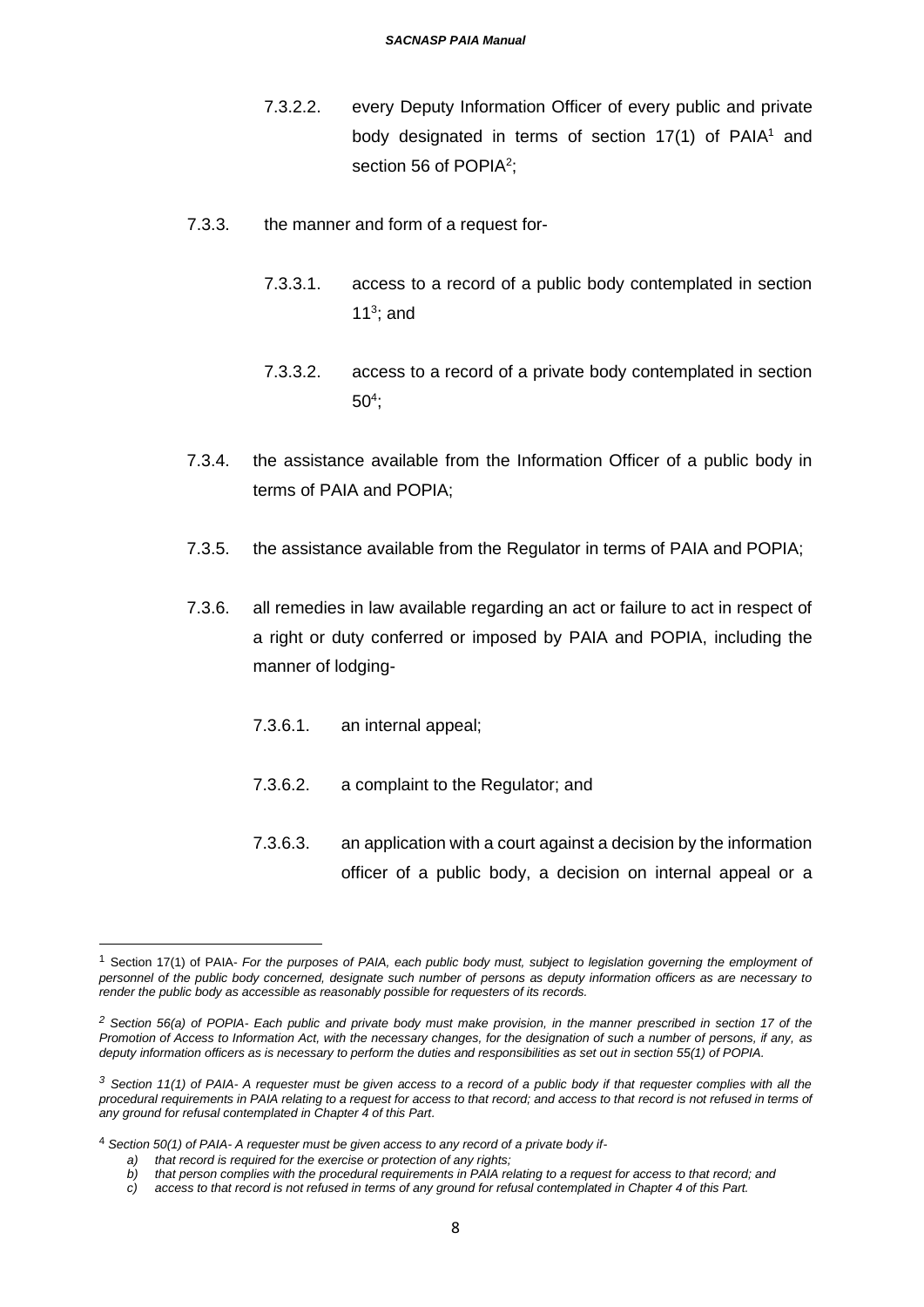- 7.3.2.2. every Deputy Information Officer of every public and private body designated in terms of section  $17(1)$  of PAIA<sup>1</sup> and section 56 of POPIA<sup>2</sup>;
- 7.3.3. the manner and form of a request for-
	- 7.3.3.1. access to a record of a public body contemplated in section 11 $3$ ; and
	- 7.3.3.2. access to a record of a private body contemplated in section 50<sup>4</sup> ;
- 7.3.4. the assistance available from the Information Officer of a public body in terms of PAIA and POPIA;
- 7.3.5. the assistance available from the Regulator in terms of PAIA and POPIA;
- 7.3.6. all remedies in law available regarding an act or failure to act in respect of a right or duty conferred or imposed by PAIA and POPIA, including the manner of lodging-
	- 7.3.6.1. an internal appeal;
	- 7.3.6.2. a complaint to the Regulator; and
	- 7.3.6.3. an application with a court against a decision by the information officer of a public body, a decision on internal appeal or a

<sup>1</sup> Section 17(1) of PAIA- *For the purposes of PAIA, each public body must, subject to legislation governing the employment of personnel of the public body concerned, designate such number of persons as deputy information officers as are necessary to render the public body as accessible as reasonably possible for requesters of its records.*

*<sup>2</sup> Section 56(a) of POPIA- Each public and private body must make provision, in the manner prescribed in section 17 of the Promotion of Access to Information Act, with the necessary changes, for the designation of such a number of persons, if any, as deputy information officers as is necessary to perform the duties and responsibilities as set out in section 55(1) of POPIA.*

*<sup>3</sup> Section 11(1) of PAIA- A requester must be given access to a record of a public body if that requester complies with all the procedural requirements in PAIA relating to a request for access to that record; and access to that record is not refused in terms of any ground for refusal contemplated in Chapter 4 of this Part.*

<sup>4</sup> *Section 50(1) of PAIA- A requester must be given access to any record of a private body if-*

*a) that record is required for the exercise or protection of any rights;*

*b) that person complies with the procedural requirements in PAIA relating to a request for access to that record; and*

*c) access to that record is not refused in terms of any ground for refusal contemplated in Chapter 4 of this Part.*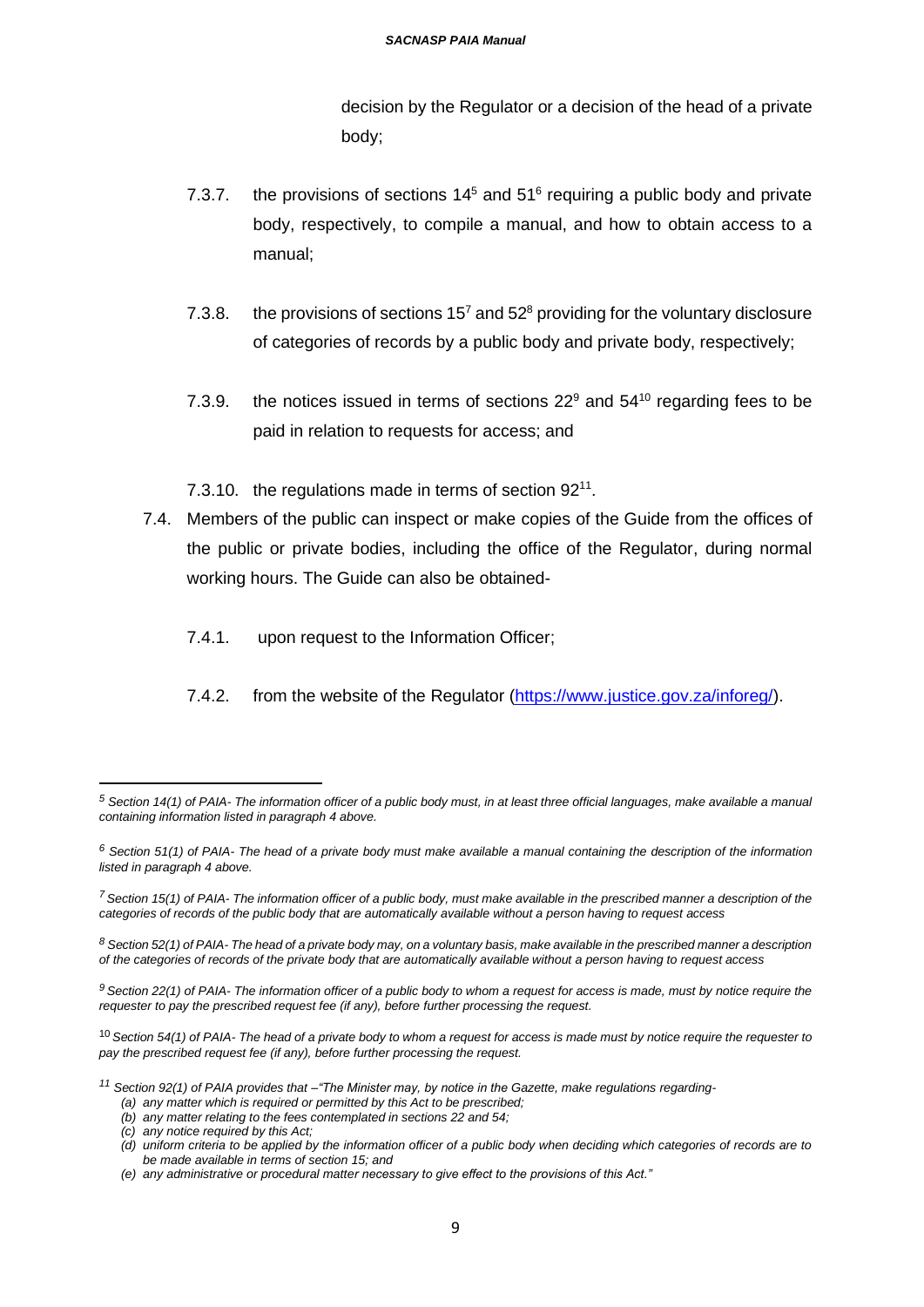decision by the Regulator or a decision of the head of a private body;

- 7.3.7. the provisions of sections  $14<sup>5</sup>$  and  $51<sup>6</sup>$  requiring a public body and private body, respectively, to compile a manual, and how to obtain access to a manual;
- 7.3.8. the provisions of sections  $15<sup>7</sup>$  and  $52<sup>8</sup>$  providing for the voluntary disclosure of categories of records by a public body and private body, respectively;
- 7.3.9. the notices issued in terms of sections  $22^9$  and  $54^{10}$  regarding fees to be paid in relation to requests for access; and
- 7.3.10. the regulations made in terms of section 92<sup>11</sup>.
- 7.4. Members of the public can inspect or make copies of the Guide from the offices of the public or private bodies, including the office of the Regulator, during normal working hours. The Guide can also be obtained-
	- 7.4.1. upon request to the Information Officer;
	- 7.4.2. from the website of the Regulator [\(https://www.justice.gov.za/inforeg/\)](https://www.justice.gov.za/inforeg/).

*<sup>5</sup> Section 14(1) of PAIA- The information officer of a public body must, in at least three official languages, make available a manual containing information listed in paragraph 4 above.*

*<sup>6</sup> Section 51(1) of PAIA- The head of a private body must make available a manual containing the description of the information listed in paragraph 4 above.*

*<sup>7</sup>Section 15(1) of PAIA- The information officer of a public body, must make available in the prescribed manner a description of the categories of records of the public body that are automatically available without a person having to request access*

*<sup>8</sup> Section 52(1) of PAIA- The head of a private body may, on a voluntary basis, make available in the prescribed manner a description of the categories of records of the private body that are automatically available without a person having to request access*

*<sup>9</sup> Section 22(1) of PAIA- The information officer of a public body to whom a request for access is made, must by notice require the requester to pay the prescribed request fee (if any), before further processing the request.*

<sup>10</sup> *Section 54(1) of PAIA- The head of a private body to whom a request for access is made must by notice require the requester to pay the prescribed request fee (if any), before further processing the request.*

*<sup>11</sup> Section 92(1) of PAIA provides that –"The Minister may, by notice in the Gazette, make regulations regarding-*

*<sup>(</sup>a) any matter which is required or permitted by this Act to be prescribed; (b) any matter relating to the fees contemplated in sections 22 and 54;*

*<sup>(</sup>c) any notice required by this Act;*

*<sup>(</sup>d) uniform criteria to be applied by the information officer of a public body when deciding which categories of records are to be made available in terms of section 15; and*

*<sup>(</sup>e) any administrative or procedural matter necessary to give effect to the provisions of this Act."*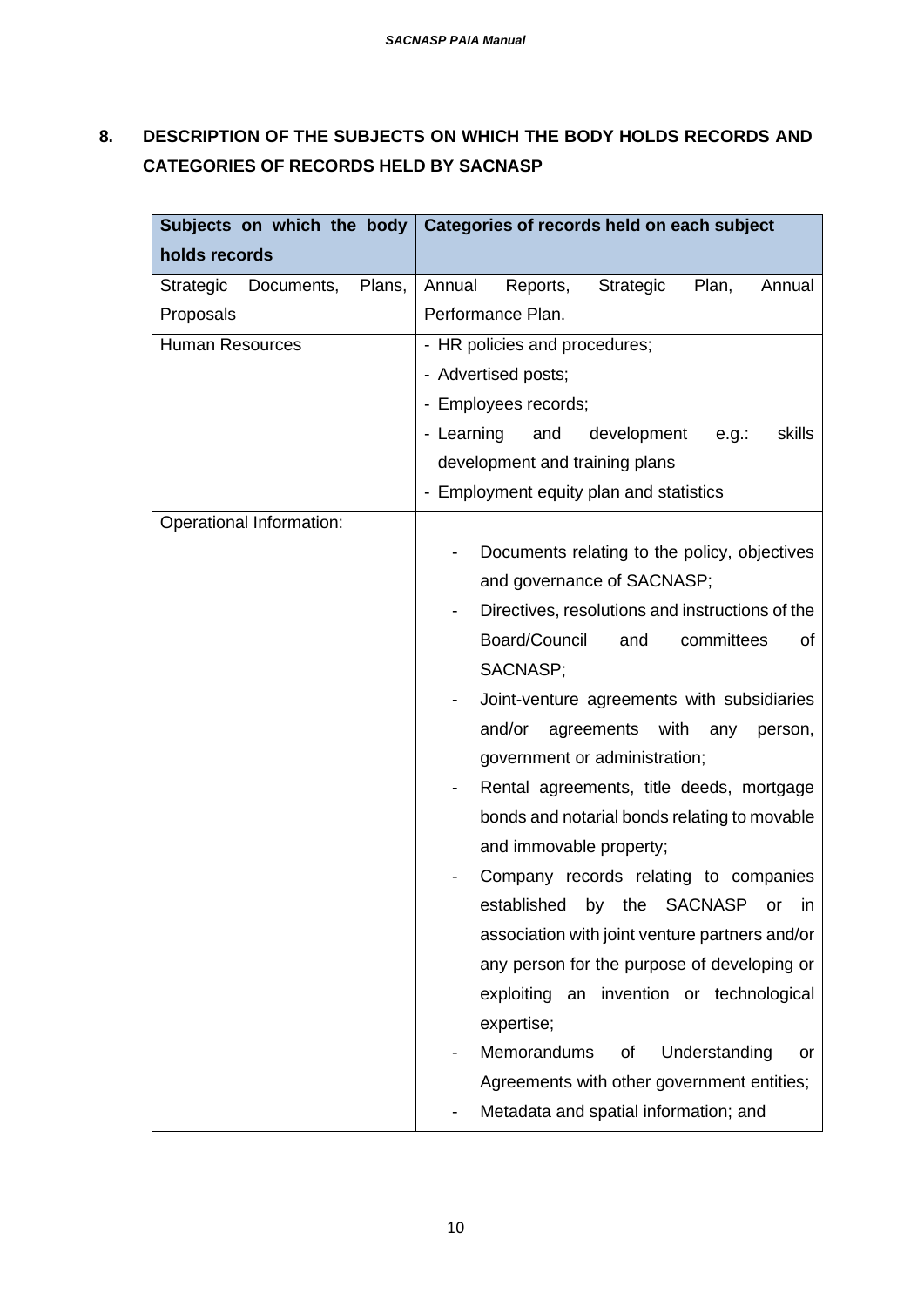# **8. DESCRIPTION OF THE SUBJECTS ON WHICH THE BODY HOLDS RECORDS AND CATEGORIES OF RECORDS HELD BY SACNASP**

| Subjects on which the body $ $    | Categories of records held on each subject          |  |
|-----------------------------------|-----------------------------------------------------|--|
| holds records                     |                                                     |  |
| Plans,<br>Documents,<br>Strategic | Annual<br>Reports,<br>Strategic<br>Plan,<br>Annual  |  |
| Proposals                         | Performance Plan.                                   |  |
| <b>Human Resources</b>            | - HR policies and procedures;                       |  |
|                                   | - Advertised posts;                                 |  |
|                                   | - Employees records;                                |  |
|                                   | - Learning<br>and<br>development<br>skills<br>e.g.: |  |
|                                   | development and training plans                      |  |
|                                   | - Employment equity plan and statistics             |  |
| Operational Information:          |                                                     |  |
|                                   | Documents relating to the policy, objectives        |  |
|                                   | and governance of SACNASP;                          |  |
|                                   | Directives, resolutions and instructions of the     |  |
|                                   | Board/Council<br>committees<br>and<br>of            |  |
|                                   | SACNASP;                                            |  |
|                                   | Joint-venture agreements with subsidiaries          |  |
|                                   | and/or<br>agreements<br>with any<br>person,         |  |
|                                   | government or administration;                       |  |
|                                   | Rental agreements, title deeds, mortgage            |  |
|                                   | bonds and notarial bonds relating to movable        |  |
|                                   | and immovable property;                             |  |
|                                   | Company records relating to companies               |  |
|                                   | established by the SACNASP or in                    |  |
|                                   | association with joint venture partners and/or      |  |
|                                   | any person for the purpose of developing or         |  |
|                                   | exploiting an invention or technological            |  |
|                                   | expertise;                                          |  |
|                                   | Memorandums<br>Understanding<br>of<br>or            |  |
|                                   | Agreements with other government entities;          |  |
|                                   | Metadata and spatial information; and               |  |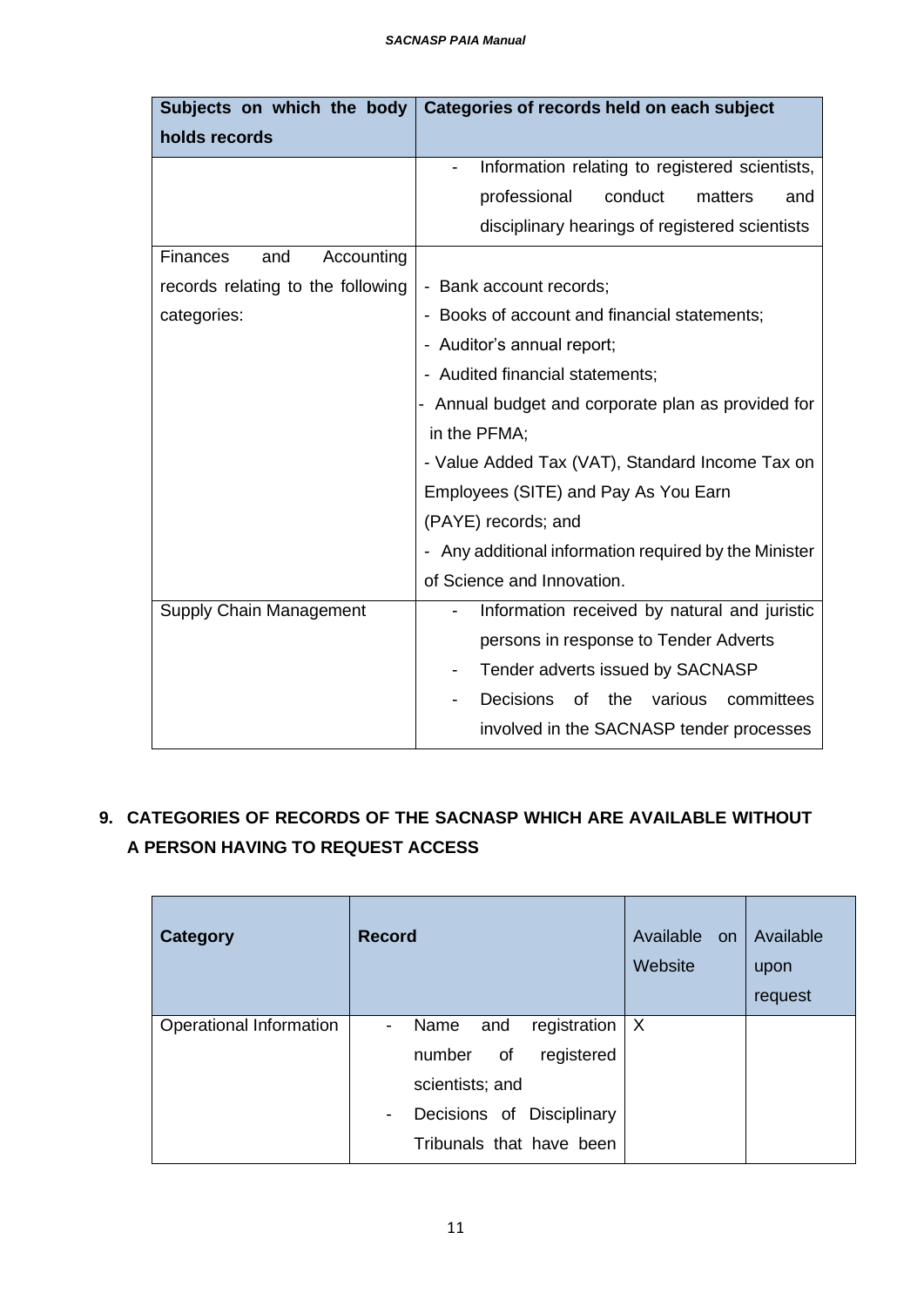| Subjects on which the body        | Categories of records held on each subject                                 |  |
|-----------------------------------|----------------------------------------------------------------------------|--|
| holds records                     |                                                                            |  |
|                                   | Information relating to registered scientists,<br>$\overline{\phantom{0}}$ |  |
|                                   | professional<br>conduct<br>matters<br>and                                  |  |
|                                   | disciplinary hearings of registered scientists                             |  |
| Finances<br>Accounting<br>and     |                                                                            |  |
| records relating to the following | - Bank account records;                                                    |  |
| categories:                       | Books of account and financial statements;                                 |  |
|                                   | - Auditor's annual report;                                                 |  |
|                                   | - Audited financial statements;                                            |  |
|                                   | - Annual budget and corporate plan as provided for                         |  |
|                                   | in the PFMA;                                                               |  |
|                                   | - Value Added Tax (VAT), Standard Income Tax on                            |  |
|                                   | Employees (SITE) and Pay As You Earn                                       |  |
|                                   | (PAYE) records; and                                                        |  |
|                                   | - Any additional information required by the Minister                      |  |
|                                   | of Science and Innovation.                                                 |  |
| Supply Chain Management           | Information received by natural and juristic                               |  |
|                                   | persons in response to Tender Adverts                                      |  |
|                                   | Tender adverts issued by SACNASP                                           |  |
|                                   | Decisions<br>the various<br>committees<br>οf                               |  |
|                                   | involved in the SACNASP tender processes                                   |  |

# **9. CATEGORIES OF RECORDS OF THE SACNASP WHICH ARE AVAILABLE WITHOUT A PERSON HAVING TO REQUEST ACCESS**

| <b>Category</b>         | <b>Record</b>                                           | Available on<br>Website | Available<br>upon<br>request |
|-------------------------|---------------------------------------------------------|-------------------------|------------------------------|
| Operational Information | registration<br>Name<br>and<br>$\overline{\phantom{a}}$ | $\mathsf{X}$            |                              |
|                         | registered<br>number<br>of                              |                         |                              |
|                         | scientists; and                                         |                         |                              |
|                         | Decisions of Disciplinary<br>$\overline{\phantom{a}}$   |                         |                              |
|                         | Tribunals that have been                                |                         |                              |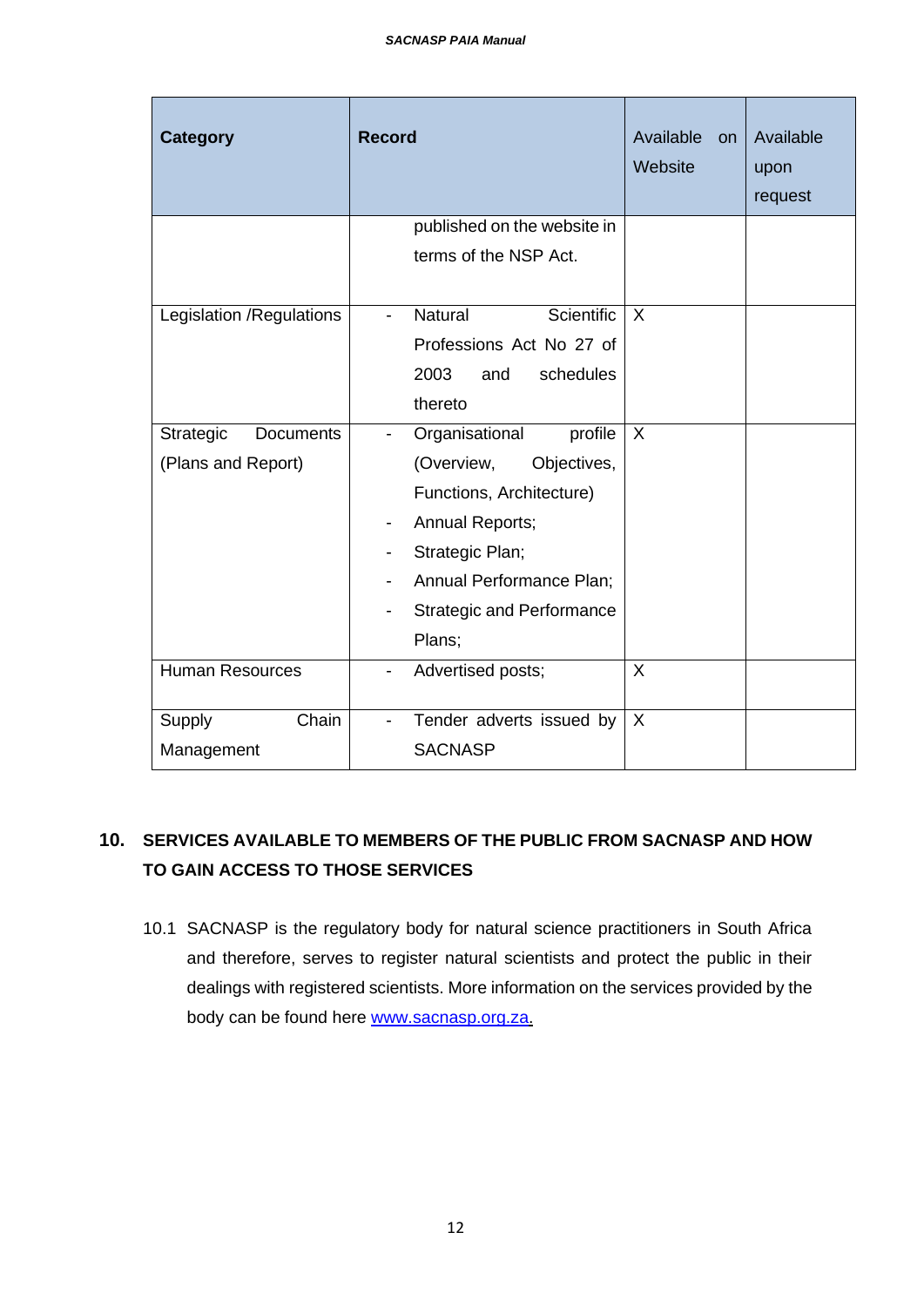| <b>Category</b>               | <b>Record</b>                                 | Available<br><b>on</b><br>Website | Available<br>upon<br>request |
|-------------------------------|-----------------------------------------------|-----------------------------------|------------------------------|
|                               | published on the website in                   |                                   |                              |
|                               | terms of the NSP Act.                         |                                   |                              |
| Legislation / Regulations     | <b>Natural</b><br>Scientific<br>-             | $\sf X$                           |                              |
|                               | Professions Act No 27 of                      |                                   |                              |
|                               | 2003<br>schedules<br>and                      |                                   |                              |
|                               | thereto                                       |                                   |                              |
| Strategic<br><b>Documents</b> | Organisational<br>profile                     | X                                 |                              |
| (Plans and Report)            | (Overview,<br>Objectives,                     |                                   |                              |
|                               | Functions, Architecture)                      |                                   |                              |
|                               | Annual Reports;                               |                                   |                              |
|                               | Strategic Plan;                               |                                   |                              |
|                               | Annual Performance Plan;                      |                                   |                              |
|                               | <b>Strategic and Performance</b>              |                                   |                              |
|                               | Plans;                                        |                                   |                              |
| <b>Human Resources</b>        | Advertised posts;<br>$\overline{\phantom{0}}$ | $\sf X$                           |                              |
| Chain<br>Supply               | Tender adverts issued by<br>-                 | $\sf X$                           |                              |
| Management                    | <b>SACNASP</b>                                |                                   |                              |

# **10. SERVICES AVAILABLE TO MEMBERS OF THE PUBLIC FROM SACNASP AND HOW TO GAIN ACCESS TO THOSE SERVICES**

10.1 SACNASP is the regulatory body for natural science practitioners in South Africa and therefore, serves to register natural scientists and protect the public in their dealings with registered scientists. More information on the services provided by the body can be found here [www.sacnasp.org.za.](http://www.sacnasp.org.za/)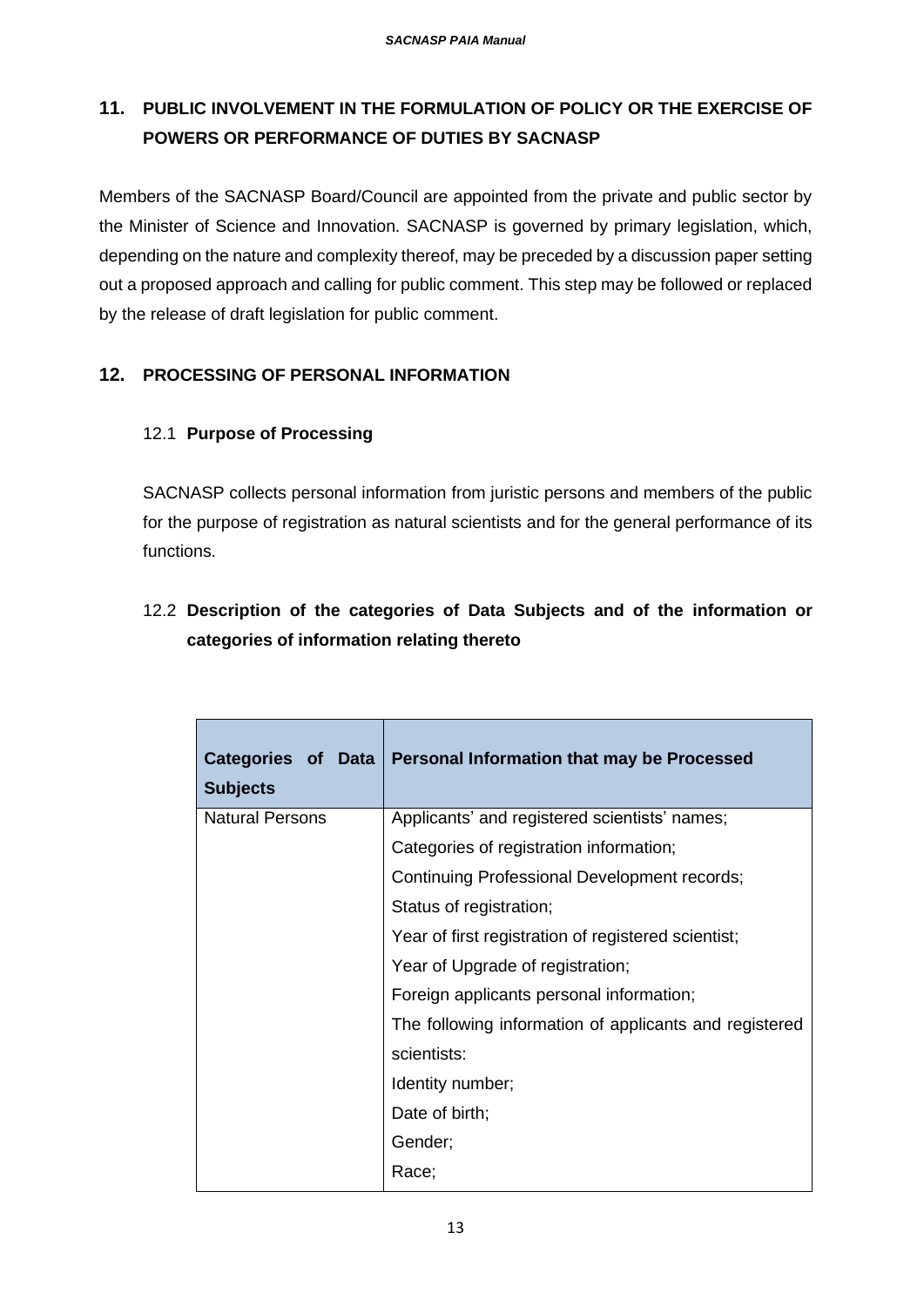# **11. PUBLIC INVOLVEMENT IN THE FORMULATION OF POLICY OR THE EXERCISE OF POWERS OR PERFORMANCE OF DUTIES BY SACNASP**

Members of the SACNASP Board/Council are appointed from the private and public sector by the Minister of Science and Innovation. SACNASP is governed by primary legislation, which, depending on the nature and complexity thereof, may be preceded by a discussion paper setting out a proposed approach and calling for public comment. This step may be followed or replaced by the release of draft legislation for public comment.

## **12. PROCESSING OF PERSONAL INFORMATION**

## 12.1 **Purpose of Processing**

SACNASP collects personal information from juristic persons and members of the public for the purpose of registration as natural scientists and for the general performance of its functions.

# 12.2 **Description of the categories of Data Subjects and of the information or categories of information relating thereto**

| Categories of Data<br><b>Subjects</b> | <b>Personal Information that may be Processed</b>      |
|---------------------------------------|--------------------------------------------------------|
| <b>Natural Persons</b>                | Applicants' and registered scientists' names;          |
|                                       | Categories of registration information;                |
|                                       | Continuing Professional Development records;           |
|                                       | Status of registration;                                |
|                                       | Year of first registration of registered scientist;    |
|                                       | Year of Upgrade of registration;                       |
|                                       | Foreign applicants personal information;               |
|                                       | The following information of applicants and registered |
|                                       | scientists:                                            |
|                                       | Identity number;                                       |
|                                       | Date of birth;                                         |
|                                       | Gender;                                                |
|                                       | Race;                                                  |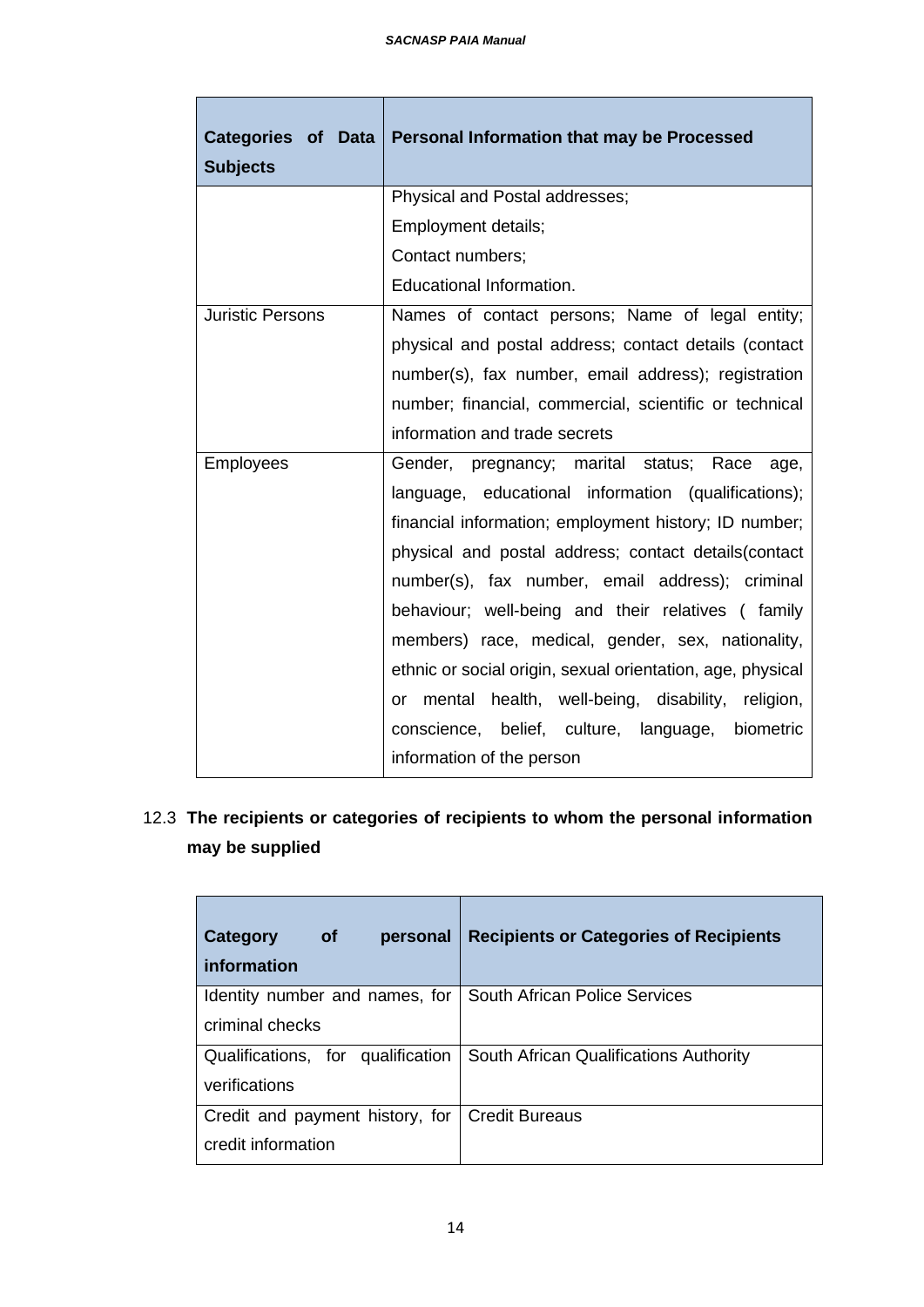Г

| Categories of Data<br><b>Subjects</b> | Personal Information that may be Processed                 |  |
|---------------------------------------|------------------------------------------------------------|--|
|                                       | Physical and Postal addresses;                             |  |
|                                       | Employment details;                                        |  |
|                                       | Contact numbers;                                           |  |
|                                       | Educational Information.                                   |  |
| <b>Juristic Persons</b>               | Names of contact persons; Name of legal entity;            |  |
|                                       | physical and postal address; contact details (contact      |  |
|                                       | number(s), fax number, email address); registration        |  |
|                                       | number; financial, commercial, scientific or technical     |  |
|                                       | information and trade secrets                              |  |
| <b>Employees</b>                      | Gender, pregnancy; marital status; Race<br>age,            |  |
|                                       | language, educational information (qualifications);        |  |
|                                       | financial information; employment history; ID number;      |  |
|                                       | physical and postal address; contact details (contact      |  |
|                                       | number(s), fax number, email address); criminal            |  |
|                                       | behaviour; well-being and their relatives (family          |  |
|                                       | members) race, medical, gender, sex, nationality,          |  |
|                                       | ethnic or social origin, sexual orientation, age, physical |  |
|                                       | or mental health, well-being, disability, religion,        |  |
|                                       | conscience, belief, culture, language, biometric           |  |
|                                       | information of the person                                  |  |

12.3 **The recipients or categories of recipients to whom the personal information may be supplied**

| <b>of</b><br>Category<br>personal<br>information      | <b>Recipients or Categories of Recipients</b> |
|-------------------------------------------------------|-----------------------------------------------|
| Identity number and names, for<br>criminal checks     | South African Police Services                 |
| Qualifications, for qualification<br>verifications    | South African Qualifications Authority        |
| Credit and payment history, for<br>credit information | <b>Credit Bureaus</b>                         |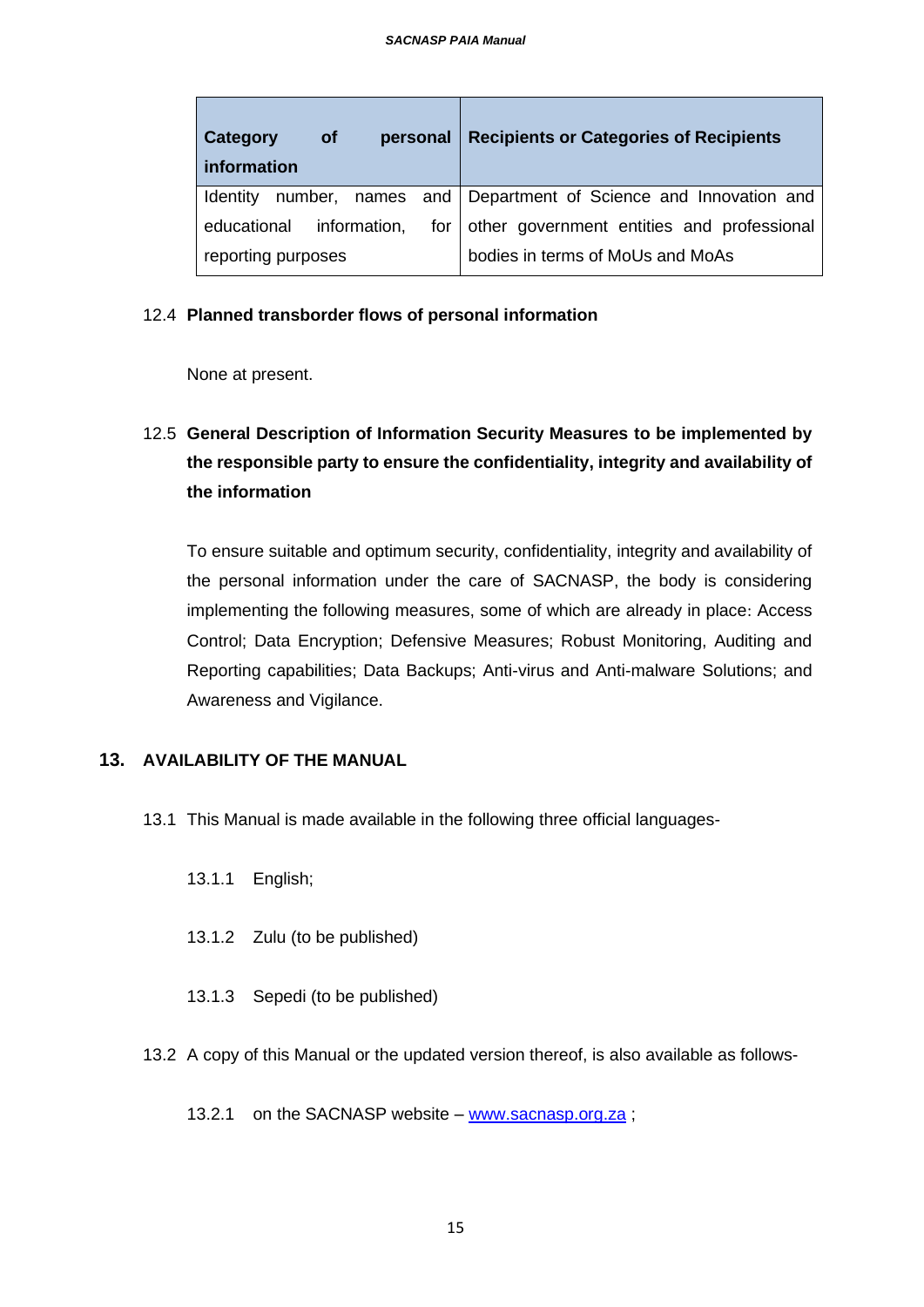| Category<br><b>of</b><br>personal<br>information | <b>Recipients or Categories of Recipients</b>                |
|--------------------------------------------------|--------------------------------------------------------------|
| <b>Identity</b>                                  | number, names and   Department of Science and Innovation and |
| information,<br>educational                      | for   other government entities and professional             |
| reporting purposes                               | bodies in terms of MoUs and MoAs                             |

#### 12.4 **Planned transborder flows of personal information**

None at present.

# 12.5 **General Description of Information Security Measures to be implemented by the responsible party to ensure the confidentiality, integrity and availability of the information**

To ensure suitable and optimum security, confidentiality, integrity and availability of the personal information under the care of SACNASP, the body is considering implementing the following measures, some of which are already in place: Access Control; Data Encryption; Defensive Measures; Robust Monitoring, Auditing and Reporting capabilities; Data Backups; Anti-virus and Anti-malware Solutions; and Awareness and Vigilance.

## **13. AVAILABILITY OF THE MANUAL**

- 13.1 This Manual is made available in the following three official languages-
	- 13.1.1 English;
	- 13.1.2 Zulu (to be published)
	- 13.1.3 Sepedi (to be published)
- 13.2 A copy of this Manual or the updated version thereof, is also available as follows-
	- 13.2.1 on the SACNASP website [www.sacnasp.org.za](http://www.sacnasp.org.za/) ;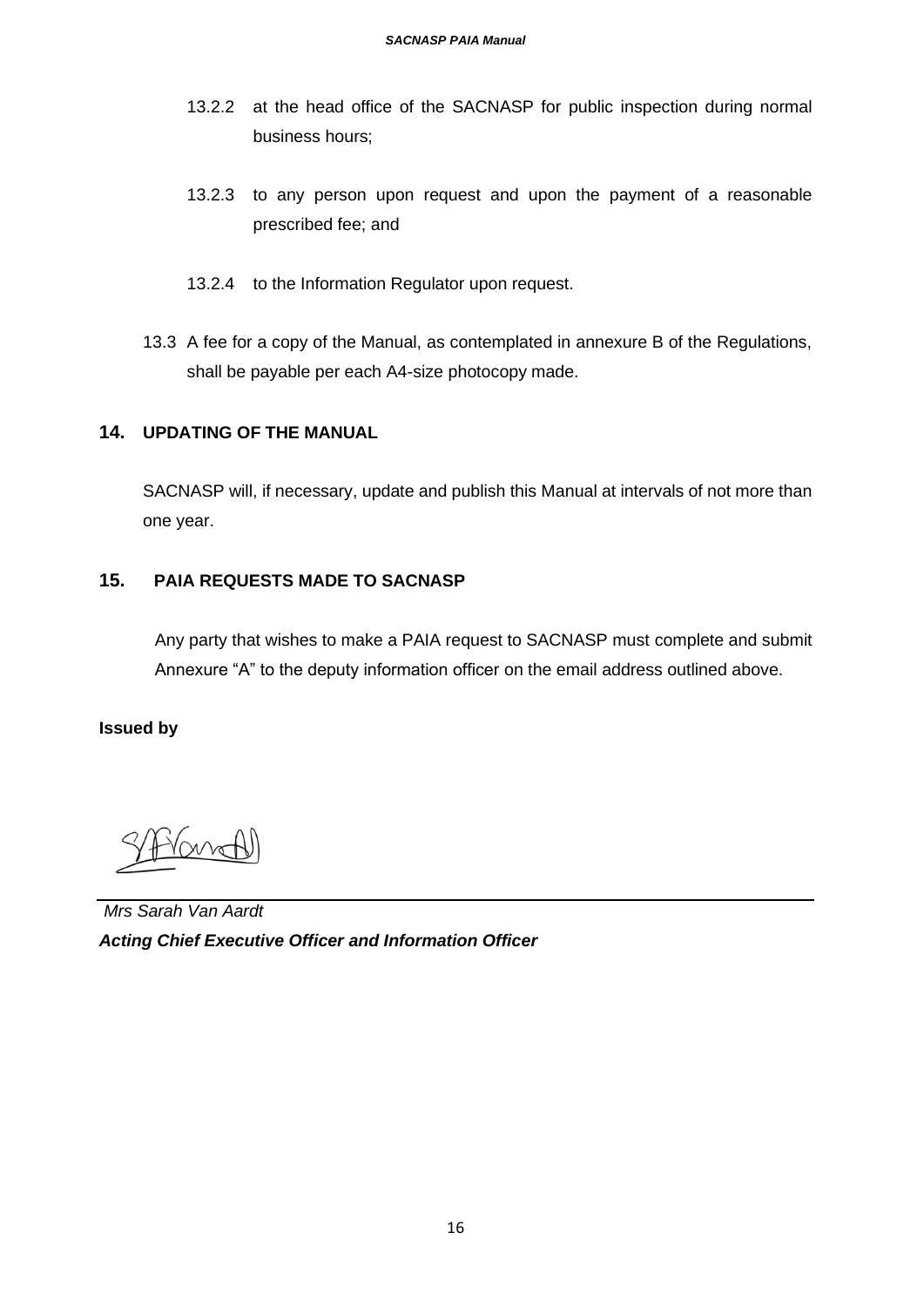- 13.2.2 at the head office of the SACNASP for public inspection during normal business hours;
- 13.2.3 to any person upon request and upon the payment of a reasonable prescribed fee; and
- 13.2.4 to the Information Regulator upon request.
- 13.3 A fee for a copy of the Manual, as contemplated in annexure B of the Regulations, shall be payable per each A4-size photocopy made.

## **14. UPDATING OF THE MANUAL**

SACNASP will, if necessary, update and publish this Manual at intervals of not more than one year.

## **15. PAIA REQUESTS MADE TO SACNASP**

Any party that wishes to make a PAIA request to SACNASP must complete and submit Annexure "A" to the deputy information officer on the email address outlined above.

#### **Issued by**

*Mrs Sarah Van Aardt Acting Chief Executive Officer and Information Officer*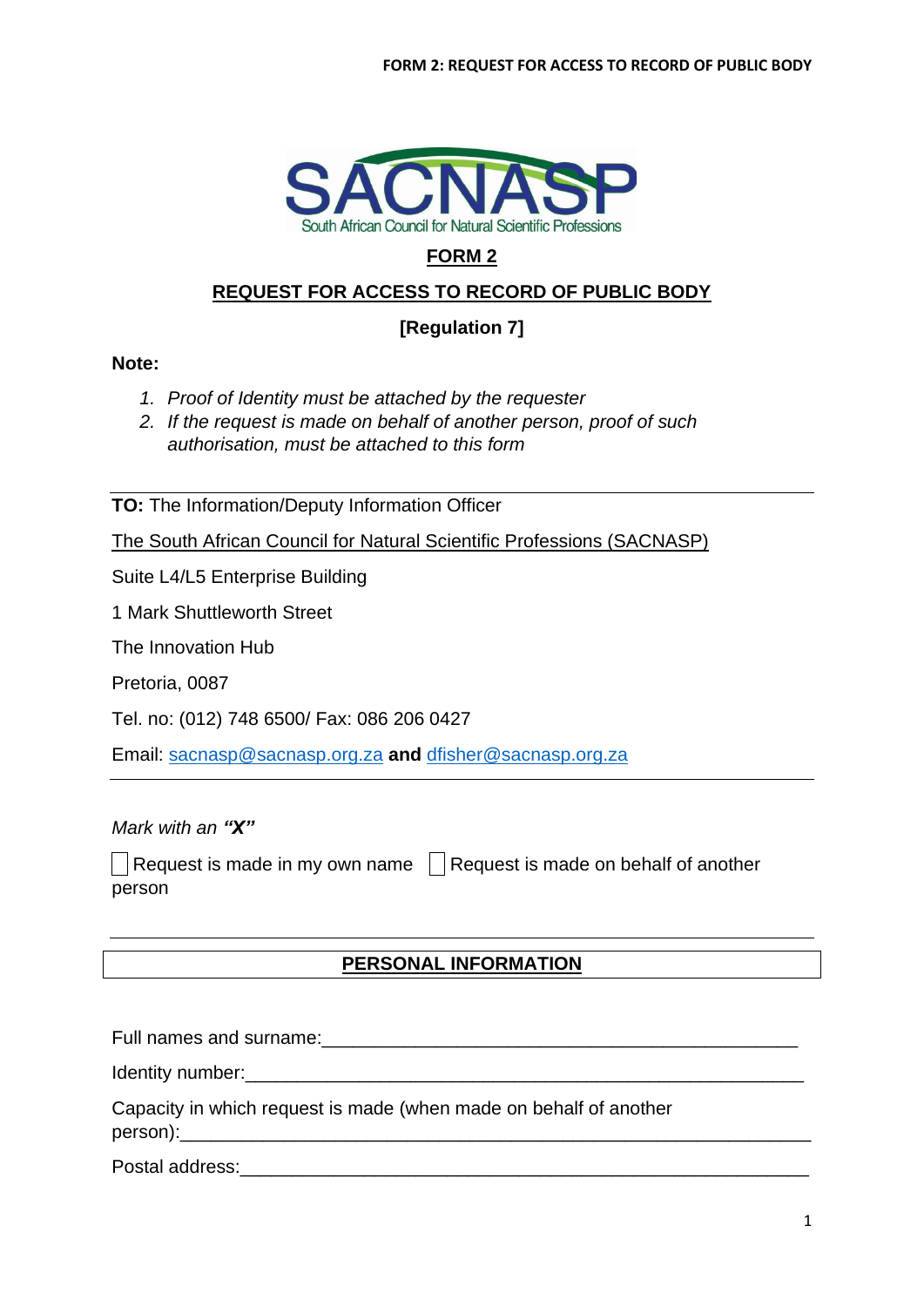

# **FORM 2**

## **REQUEST FOR ACCESS TO RECORD OF PUBLIC BODY**

## **[Regulation 7]**

## **Note:**

- *1. Proof of Identity must be attached by the requester*
- *2. If the request is made on behalf of another person, proof of such authorisation, must be attached to this form*

**TO:** The Information/Deputy Information Officer

The South African Council for Natural Scientific Professions (SACNASP)

Suite L4/L5 Enterprise Building

1 Mark Shuttleworth Street

The Innovation Hub

Pretoria, 0087

Tel. no: (012) 748 6500/ Fax: 086 206 0427

Email: [sacnasp@sacnasp.org.za](mailto:sacnasp@sacnasp.org.za) **and** [dfisher@sacnasp.org.za](mailto:dfisher@sacnasp.org.za)

*Mark with an "X"*

Request is made in my own name  $\Box$  Request is made on behalf of another person

## **PERSONAL INFORMATION**

Full names and surname: The surface of the surface of the surface of the surface of the surface of the surface

Identity number:  $\blacksquare$ 

Capacity in which request is made (when made on behalf of another person):

Postal address: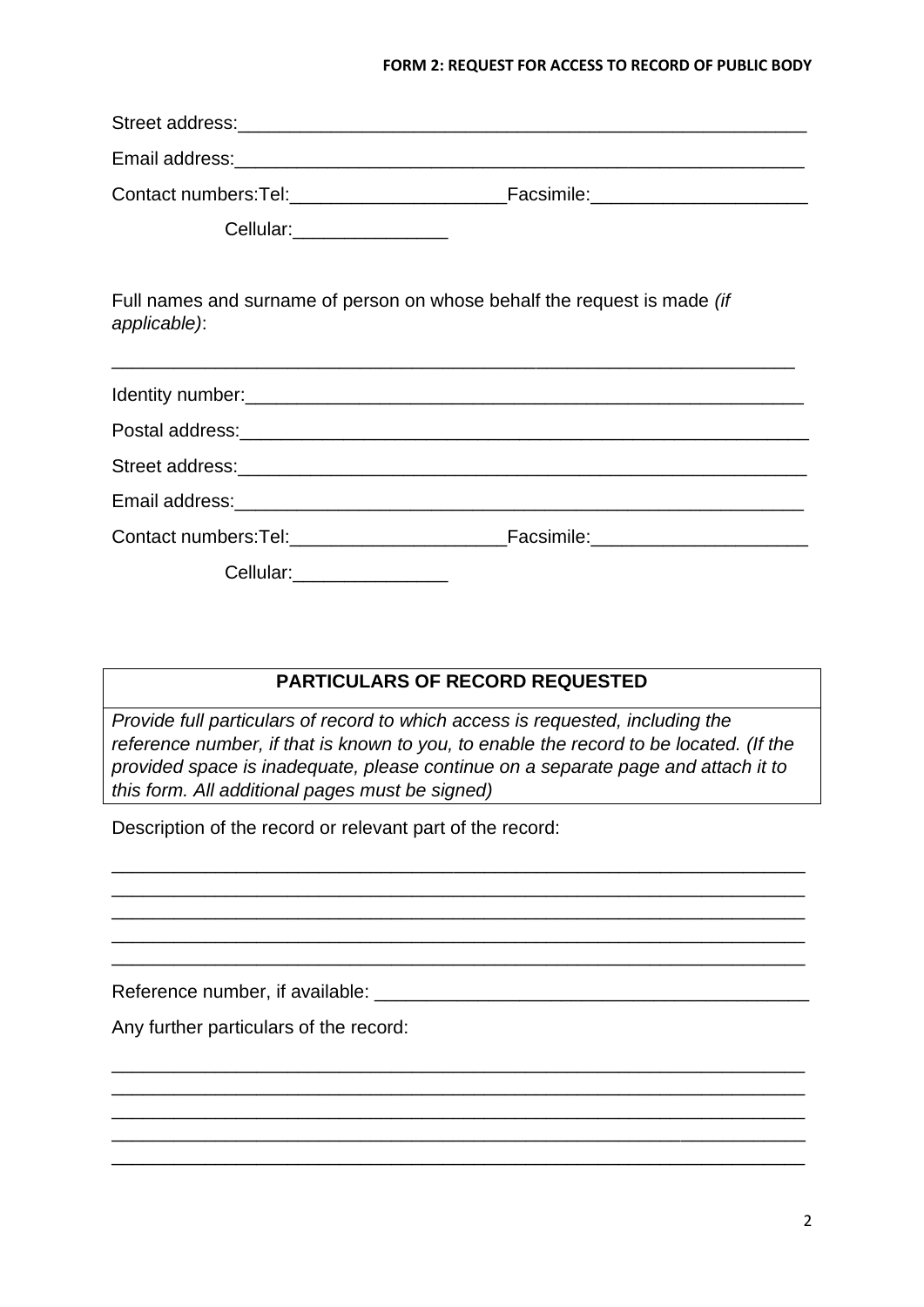#### **FORM 2: REQUEST FOR ACCESS TO RECORD OF PUBLIC BODY**

| Email address: <u>compare and contract and contract and contract and contract and contract and contract and contract and contract and contract and contract and contract and contract and contract and contract and contract and</u> |  |  |  |  |  |  |  |
|--------------------------------------------------------------------------------------------------------------------------------------------------------------------------------------------------------------------------------------|--|--|--|--|--|--|--|
|                                                                                                                                                                                                                                      |  |  |  |  |  |  |  |
| Cellular: __________________                                                                                                                                                                                                         |  |  |  |  |  |  |  |
| Full names and surname of person on whose behalf the request is made (if<br>applicable):                                                                                                                                             |  |  |  |  |  |  |  |
|                                                                                                                                                                                                                                      |  |  |  |  |  |  |  |
|                                                                                                                                                                                                                                      |  |  |  |  |  |  |  |
|                                                                                                                                                                                                                                      |  |  |  |  |  |  |  |
|                                                                                                                                                                                                                                      |  |  |  |  |  |  |  |
|                                                                                                                                                                                                                                      |  |  |  |  |  |  |  |
| Cellular:___________________                                                                                                                                                                                                         |  |  |  |  |  |  |  |

## **PARTICULARS OF RECORD REQUESTED**

*Provide full particulars of record to which access is requested, including the reference number, if that is known to you, to enable the record to be located. (If the provided space is inadequate, please continue on a separate page and attach it to this form. All additional pages must be signed)*

\_\_\_\_\_\_\_\_\_\_\_\_\_\_\_\_\_\_\_\_\_\_\_\_\_\_\_\_\_\_\_\_\_\_\_\_\_\_\_\_\_\_\_\_\_\_\_\_\_\_\_\_\_\_\_\_\_\_\_\_\_\_\_\_\_\_\_ \_\_\_\_\_\_\_\_\_\_\_\_\_\_\_\_\_\_\_\_\_\_\_\_\_\_\_\_\_\_\_\_\_\_\_\_\_\_\_\_\_\_\_\_\_\_\_\_\_\_\_\_\_\_\_\_\_\_\_\_\_\_\_\_\_\_\_ \_\_\_\_\_\_\_\_\_\_\_\_\_\_\_\_\_\_\_\_\_\_\_\_\_\_\_\_\_\_\_\_\_\_\_\_\_\_\_\_\_\_\_\_\_\_\_\_\_\_\_\_\_\_\_\_\_\_\_\_\_\_\_\_\_\_\_ \_\_\_\_\_\_\_\_\_\_\_\_\_\_\_\_\_\_\_\_\_\_\_\_\_\_\_\_\_\_\_\_\_\_\_\_\_\_\_\_\_\_\_\_\_\_\_\_\_\_\_\_\_\_\_\_\_\_\_\_\_\_\_\_\_\_\_ \_\_\_\_\_\_\_\_\_\_\_\_\_\_\_\_\_\_\_\_\_\_\_\_\_\_\_\_\_\_\_\_\_\_\_\_\_\_\_\_\_\_\_\_\_\_\_\_\_\_\_\_\_\_\_\_\_\_\_\_\_\_\_\_\_\_\_

\_\_\_\_\_\_\_\_\_\_\_\_\_\_\_\_\_\_\_\_\_\_\_\_\_\_\_\_\_\_\_\_\_\_\_\_\_\_\_\_\_\_\_\_\_\_\_\_\_\_\_\_\_\_\_\_\_\_\_\_\_\_\_\_\_\_\_ \_\_\_\_\_\_\_\_\_\_\_\_\_\_\_\_\_\_\_\_\_\_\_\_\_\_\_\_\_\_\_\_\_\_\_\_\_\_\_\_\_\_\_\_\_\_\_\_\_\_\_\_\_\_\_\_\_\_\_\_\_\_\_\_\_\_\_ \_\_\_\_\_\_\_\_\_\_\_\_\_\_\_\_\_\_\_\_\_\_\_\_\_\_\_\_\_\_\_\_\_\_\_\_\_\_\_\_\_\_\_\_\_\_\_\_\_\_\_\_\_\_\_\_\_\_\_\_\_\_\_\_\_\_\_ \_\_\_\_\_\_\_\_\_\_\_\_\_\_\_\_\_\_\_\_\_\_\_\_\_\_\_\_\_\_\_\_\_\_\_\_\_\_\_\_\_\_\_\_\_\_\_\_\_\_\_\_\_\_\_\_\_\_\_\_\_\_\_\_\_\_\_ \_\_\_\_\_\_\_\_\_\_\_\_\_\_\_\_\_\_\_\_\_\_\_\_\_\_\_\_\_\_\_\_\_\_\_\_\_\_\_\_\_\_\_\_\_\_\_\_\_\_\_\_\_\_\_\_\_\_\_\_\_\_\_\_\_\_\_

Description of the record or relevant part of the record:

Reference number, if available: \_\_\_\_\_\_

Any further particulars of the record: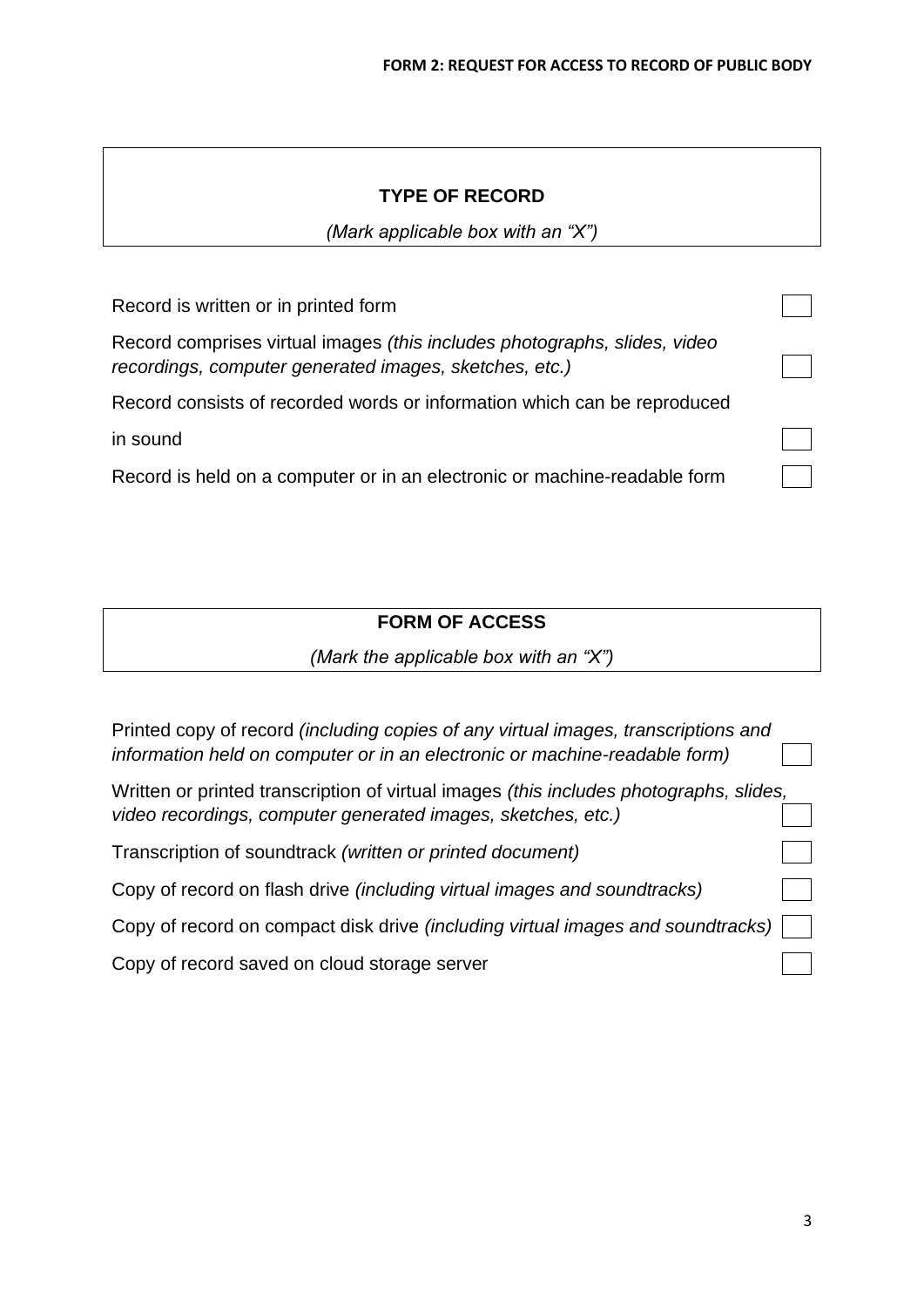## **TYPE OF RECORD**

*(Mark applicable box with an "X")*

| Record is written or in printed form                                                                                                |  |
|-------------------------------------------------------------------------------------------------------------------------------------|--|
| Record comprises virtual images (this includes photographs, slides, video<br>recordings, computer generated images, sketches, etc.) |  |
| Record consists of recorded words or information which can be reproduced                                                            |  |
| in sound                                                                                                                            |  |
| Record is held on a computer or in an electronic or machine-readable form                                                           |  |

# **FORM OF ACCESS**

*(Mark the applicable box with an "X")*

| Printed copy of record (including copies of any virtual images, transcriptions and<br>information held on computer or in an electronic or machine-readable form) |  |
|------------------------------------------------------------------------------------------------------------------------------------------------------------------|--|
| Written or printed transcription of virtual images (this includes photographs, slides,<br>video recordings, computer generated images, sketches, etc.)           |  |
| Transcription of soundtrack (written or printed document)                                                                                                        |  |
| Copy of record on flash drive (including virtual images and soundtracks)                                                                                         |  |
| Copy of record on compact disk drive <i>(including virtual images and soundtracks)</i>                                                                           |  |
| Copy of record saved on cloud storage server                                                                                                                     |  |
|                                                                                                                                                                  |  |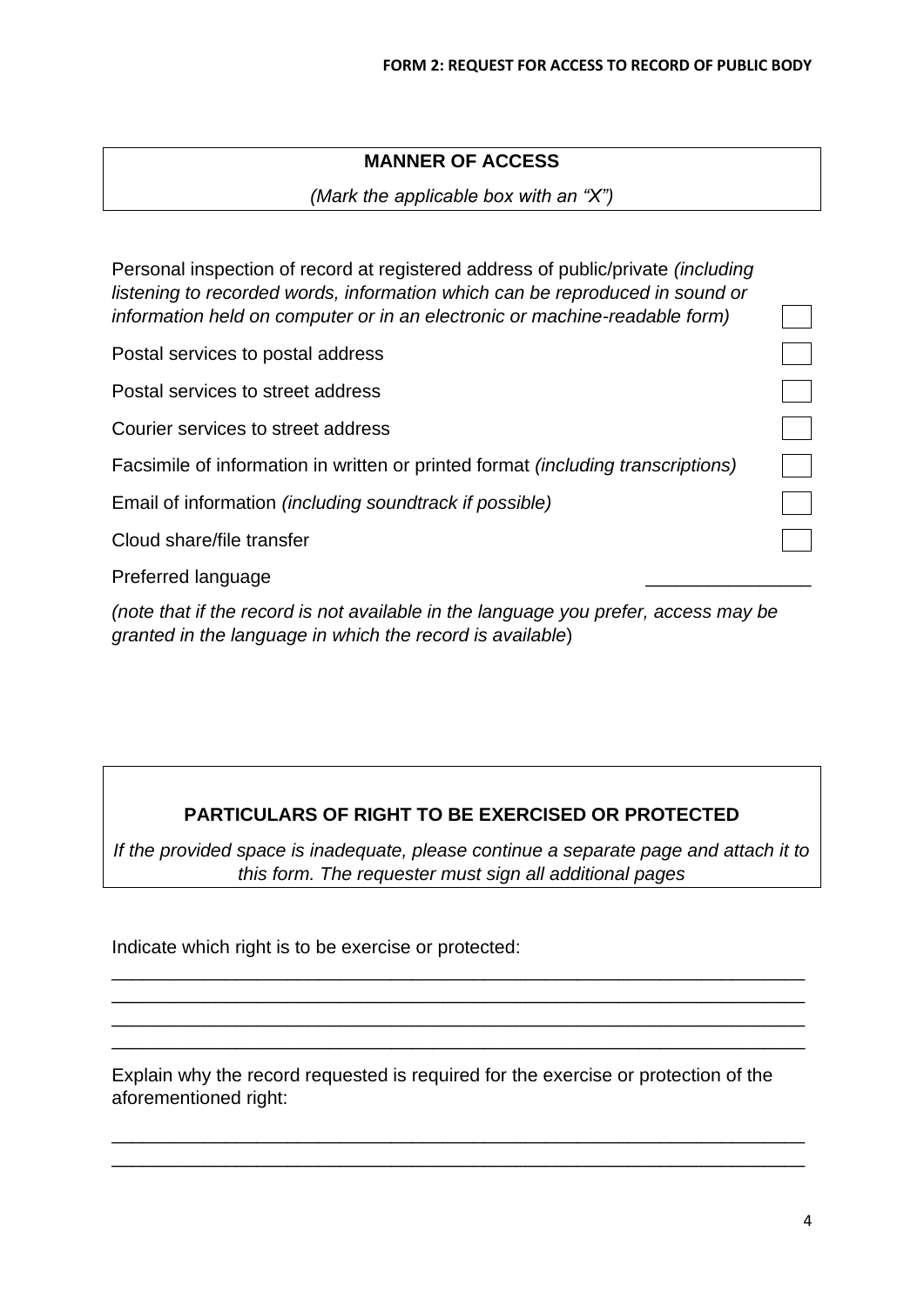## **MANNER OF ACCESS**

*(Mark the applicable box with an "X")*

Personal inspection of record at registered address of public/private *(including listening to recorded words, information which can be reproduced in sound or information held on computer or in an electronic or machine-readable form)* 

Postal services to postal address

Postal services to street address

Courier services to street address

Facsimile of information in written or printed format *(including transcriptions)* 

Email of information *(including soundtrack if possible)* 

Cloud share/file transfer

Preferred language

*(note that if the record is not available in the language you prefer, access may be granted in the language in which the record is available*)

## **PARTICULARS OF RIGHT TO BE EXERCISED OR PROTECTED**

*If the provided space is inadequate, please continue a separate page and attach it to this form. The requester must sign all additional pages*

\_\_\_\_\_\_\_\_\_\_\_\_\_\_\_\_\_\_\_\_\_\_\_\_\_\_\_\_\_\_\_\_\_\_\_\_\_\_\_\_\_\_\_\_\_\_\_\_\_\_\_\_\_\_\_\_\_\_\_\_\_\_\_\_\_\_\_ \_\_\_\_\_\_\_\_\_\_\_\_\_\_\_\_\_\_\_\_\_\_\_\_\_\_\_\_\_\_\_\_\_\_\_\_\_\_\_\_\_\_\_\_\_\_\_\_\_\_\_\_\_\_\_\_\_\_\_\_\_\_\_\_\_\_\_ \_\_\_\_\_\_\_\_\_\_\_\_\_\_\_\_\_\_\_\_\_\_\_\_\_\_\_\_\_\_\_\_\_\_\_\_\_\_\_\_\_\_\_\_\_\_\_\_\_\_\_\_\_\_\_\_\_\_\_\_\_\_\_\_\_\_\_ \_\_\_\_\_\_\_\_\_\_\_\_\_\_\_\_\_\_\_\_\_\_\_\_\_\_\_\_\_\_\_\_\_\_\_\_\_\_\_\_\_\_\_\_\_\_\_\_\_\_\_\_\_\_\_\_\_\_\_\_\_\_\_\_\_\_\_

Indicate which right is to be exercise or protected:

Explain why the record requested is required for the exercise or protection of the aforementioned right:

\_\_\_\_\_\_\_\_\_\_\_\_\_\_\_\_\_\_\_\_\_\_\_\_\_\_\_\_\_\_\_\_\_\_\_\_\_\_\_\_\_\_\_\_\_\_\_\_\_\_\_\_\_\_\_\_\_\_\_\_\_\_\_\_\_\_\_ \_\_\_\_\_\_\_\_\_\_\_\_\_\_\_\_\_\_\_\_\_\_\_\_\_\_\_\_\_\_\_\_\_\_\_\_\_\_\_\_\_\_\_\_\_\_\_\_\_\_\_\_\_\_\_\_\_\_\_\_\_\_\_\_\_\_\_